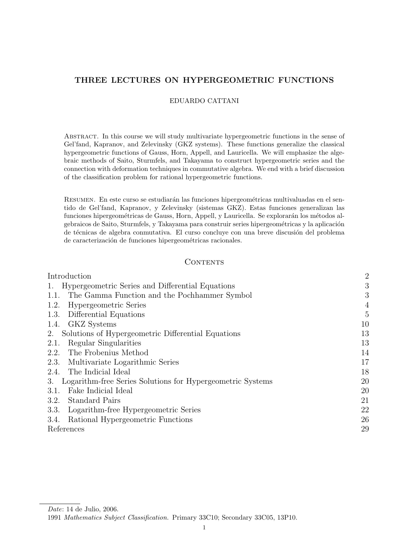# THREE LECTURES ON HYPERGEOMETRIC FUNCTIONS

# EDUARDO CATTANI

Abstract. In this course we will study multivariate hypergeometric functions in the sense of Gel'fand, Kapranov, and Zelevinsky (GKZ systems). These functions generalize the classical hypergeometric functions of Gauss, Horn, Appell, and Lauricella. We will emphasize the algebraic methods of Saito, Sturmfels, and Takayama to construct hypergeometric series and the connection with deformation techniques in commutative algebra. We end with a brief discussion of the classification problem for rational hypergeometric functions.

RESUMEN. En este curso se estudiarán las funciones hipergeométricas multivaluadas en el sentido de Gel'fand, Kapranov, y Zelevinsky (sistemas GKZ). Estas funciones generalizan las funciones hipergeométricas de Gauss, Horn, Appell, y Lauricella. Se explorarán los métodos algebraicos de Saito, Sturmfels, y Takayama para construir series hipergeométricas y la aplicación de técnicas de algebra conmutativa. El curso concluye con una breve discusión del problema de caracterización de funciones hipergeométricas racionales.

## **CONTENTS**

| Introduction                                                     | $\overline{2}$ |
|------------------------------------------------------------------|----------------|
| Hypergeometric Series and Differential Equations<br>1.           | 3              |
| The Gamma Function and the Pochhammer Symbol<br>1.1.             | 3              |
| Hypergeometric Series<br>1.2.                                    | 4              |
| Differential Equations<br>1.3.                                   | $\overline{5}$ |
| 1.4. GKZ Systems                                                 | 10             |
| 2. Solutions of Hypergeometric Differential Equations            | 13             |
| Regular Singularities<br>2.1.                                    | 13             |
| The Frobenius Method<br>2.2.                                     | 14             |
| 2.3. Multivariate Logarithmic Series                             | 17             |
| 2.4. The Indicial Ideal                                          | 18             |
| Logarithm-free Series Solutions for Hypergeometric Systems<br>3. | 20             |
| Fake Indicial Ideal<br>3.1.                                      | 20             |
| <b>Standard Pairs</b><br>3.2.                                    | 21             |
| Logarithm-free Hypergeometric Series<br>3.3.                     | 22             |
| Rational Hypergeometric Functions<br>3.4.                        | 26             |
| References                                                       | 29             |

Date: 14 de Julio, 2006.

<sup>1991</sup> Mathematics Subject Classification. Primary 33C10; Secondary 33C05, 13P10.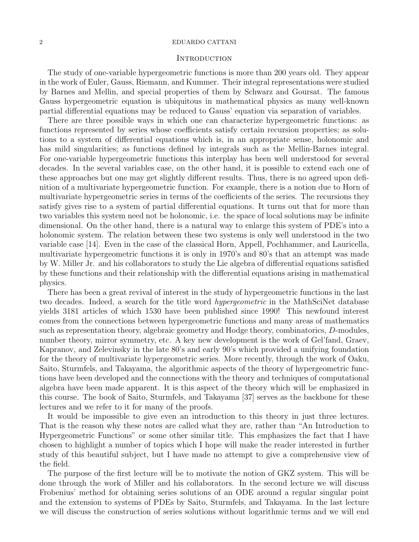# **INTRODUCTION**

The study of one-variable hypergeometric functions is more than 200 years old. They appear in the work of Euler, Gauss, Riemann, and Kummer. Their integral representations were studied by Barnes and Mellin, and special properties of them by Schwarz and Goursat. The famous Gauss hypergeometric equation is ubiquitous in mathematical physics as many well-known partial differential equations may be reduced to Gauss' equation via separation of variables.

There are three possible ways in which one can characterize hypergeometric functions: as functions represented by series whose coefficients satisfy certain recursion properties; as solutions to a system of differential equations which is, in an appropriate sense, holonomic and has mild singularities; as functions defined by integrals such as the Mellin-Barnes integral. For one-variable hypergeometric functions this interplay has been well understood for several decades. In the several variables case, on the other hand, it is possible to extend each one of these approaches but one may get slightly different results. Thus, there is no agreed upon definition of a multivariate hypergeometric function. For example, there is a notion due to Horn of multivariate hypergeometric series in terms of the coefficients of the series. The recursions they satisfy gives rise to a system of partial differential equations. It turns out that for more than two variables this system need not be holonomic, i.e. the space of local solutions may be infinite dimensional. On the other hand, there is a natural way to enlarge this system of PDE's into a holonomic system. The relation between these two systems is only well understood in the two variable case [14]. Even in the case of the classical Horn, Appell, Pochhammer, and Lauricella, multivariate hypergeometric functions it is only in 1970's and 80's that an attempt was made by W. Miller Jr. and his collaborators to study the Lie algebra of differential equations satisfied by these functions and their relationship with the differential equations arising in mathematical physics.

There has been a great revival of interest in the study of hypergeometric functions in the last two decades. Indeed, a search for the title word *hypergeometric* in the MathSciNet database yields 3181 articles of which 1530 have been published since 1990! This newfound interest comes from the connections between hypergeometric functions and many areas of mathematics such as representation theory, algebraic geometry and Hodge theory, combinatorics, D-modules, number theory, mirror symmetry, etc. A key new development is the work of Gel'fand, Graev, Kapranov, and Zelevinsky in the late 80's and early 90's which provided a unifying foundation for the theory of multivariate hypergeometric series. More recently, through the work of Oaku, Saito, Sturmfels, and Takayama, the algorithmic aspects of the theory of hypergeometric functions have been developed and the connections with the theory and techniques of computational algebra have been made apparent. It is this aspect of the theory which will be emphasized in this course. The book of Saito, Sturmfels, and Takayama [37] serves as the backbone for these lectures and we refer to it for many of the proofs.

It would be impossible to give even an introduction to this theory in just three lectures. That is the reason why these notes are called what they are, rather than "An Introduction to Hypergeometric Functions" or some other similar title. This emphasizes the fact that I have chosen to highlight a number of topics which I hope will make the reader interested in further study of this beautiful subject, but I have made no attempt to give a comprehensive view of the field.

The purpose of the first lecture will be to motivate the notion of GKZ system. This will be done through the work of Miller and his collaborators. In the second lecture we will discuss Frobenius' method for obtaining series solutions of an ODE around a regular singular point and the extension to systems of PDEs by Saito, Sturmfels, and Takayama. In the last lecture we will discuss the construction of series solutions without logarithmic terms and we will end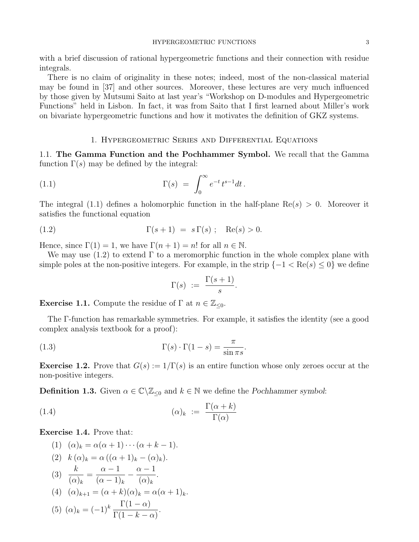with a brief discussion of rational hypergeometric functions and their connection with residue integrals.

There is no claim of originality in these notes; indeed, most of the non-classical material may be found in [37] and other sources. Moreover, these lectures are very much influenced by those given by Mutsumi Saito at last year's "Workshop on D-modules and Hypergeometric Functions" held in Lisbon. In fact, it was from Saito that I first learned about Miller's work on bivariate hypergeometric functions and how it motivates the definition of GKZ systems.

# 1. Hypergeometric Series and Differential Equations

1.1. The Gamma Function and the Pochhammer Symbol. We recall that the Gamma function  $\Gamma(s)$  may be defined by the integral:

(1.1) 
$$
\Gamma(s) = \int_0^\infty e^{-t} t^{s-1} dt.
$$

The integral (1.1) defines a holomorphic function in the half-plane  $\text{Re}(s) > 0$ . Moreover it satisfies the functional equation

$$
\Gamma(s+1) = s \Gamma(s) ; \quad \text{Re}(s) > 0.
$$

Hence, since  $\Gamma(1) = 1$ , we have  $\Gamma(n + 1) = n!$  for all  $n \in \mathbb{N}$ .

We may use  $(1.2)$  to extend  $\Gamma$  to a meromorphic function in the whole complex plane with simple poles at the non-positive integers. For example, in the strip  $\{-1 < \text{Re}(s) \leq 0\}$  we define

$$
\Gamma(s) \; := \; \frac{\Gamma(s+1)}{s}.
$$

**Exercise 1.1.** Compute the residue of  $\Gamma$  at  $n \in \mathbb{Z}_{\leq 0}$ .

The Γ-function has remarkable symmetries. For example, it satisfies the identity (see a good complex analysis textbook for a proof):

(1.3) 
$$
\Gamma(s) \cdot \Gamma(1-s) = \frac{\pi}{\sin \pi s}.
$$

**Exercise 1.2.** Prove that  $G(s) := 1/\Gamma(s)$  is an entire function whose only zeroes occur at the non-positive integers.

**Definition 1.3.** Given  $\alpha \in \mathbb{C} \setminus \mathbb{Z}_{\leq 0}$  and  $k \in \mathbb{N}$  we define the Pochhammer symbol:

(1.4) 
$$
(\alpha)_k := \frac{\Gamma(\alpha + k)}{\Gamma(\alpha)}
$$

Exercise 1.4. Prove that:

(1)  $(\alpha)_k = \alpha(\alpha+1)\cdots(\alpha+k-1).$ (2)  $k(\alpha)_k = \alpha ((\alpha + 1)_k - (\alpha)_k).$  $(3) \frac{k}{(1)}$  $(\alpha)_k$ =  $\alpha - 1$  $(\alpha - 1)_k$  $-\frac{\alpha-1}{\alpha}$  $(\alpha)_k$ . (4)  $(\alpha)_{k+1} = (\alpha + k)(\alpha)_k = \alpha(\alpha + 1)_k$ . (5)  $(\alpha)_k = (-1)^k \frac{\Gamma(1-\alpha)}{\Gamma(1-k-\alpha)}$ .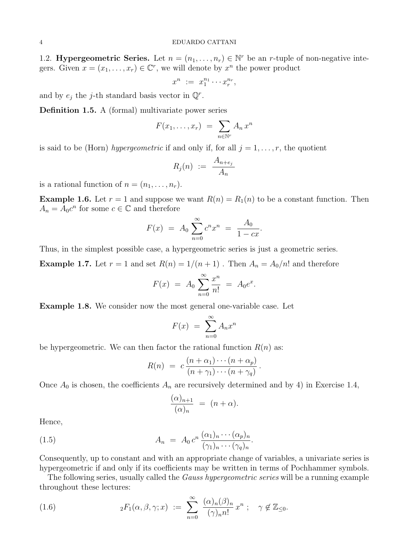1.2. **Hypergeometric Series.** Let  $n = (n_1, \ldots, n_r) \in \mathbb{N}^r$  be an *r*-tuple of non-negative integers. Given  $x = (x_1, \ldots, x_r) \in \mathbb{C}^r$ , we will denote by  $x^n$  the power product

$$
x^n := x_1^{n_1} \cdots x_r^{n_r},
$$

and by  $e_j$  the j-th standard basis vector in  $\mathbb{Q}^r$ .

Definition 1.5. A (formal) multivariate power series

$$
F(x_1,\ldots,x_r) = \sum_{n \in \mathbb{N}^r} A_n x^n
$$

is said to be (Horn) hypergeometric if and only if, for all  $j = 1, \ldots, r$ , the quotient

$$
R_j(n) \ := \ \frac{A_{n+e_j}}{A_n}
$$

is a rational function of  $n = (n_1, \ldots, n_r)$ .

**Example 1.6.** Let  $r = 1$  and suppose we want  $R(n) = R_1(n)$  to be a constant function. Then  $A_n = A_0 c^n$  for some  $c \in \mathbb{C}$  and therefore

$$
F(x) = A_0 \sum_{n=0}^{\infty} c^n x^n = \frac{A_0}{1 - cx}.
$$

Thus, in the simplest possible case, a hypergeometric series is just a geometric series.

**Example 1.7.** Let  $r = 1$  and set  $R(n) = 1/(n + 1)$ . Then  $A_n = A_0/n!$  and therefore

$$
F(x) = A_0 \sum_{n=0}^{\infty} \frac{x^n}{n!} = A_0 e^x.
$$

Example 1.8. We consider now the most general one-variable case. Let

$$
F(x) = \sum_{n=0}^{\infty} A_n x^n
$$

be hypergeometric. We can then factor the rational function  $R(n)$  as:

$$
R(n) = c \frac{(n+\alpha_1)\cdots(n+\alpha_p)}{(n+\gamma_1)\cdots(n+\gamma_q)}.
$$

Once  $A_0$  is chosen, the coefficients  $A_n$  are recursively determined and by 4) in Exercise 1.4,

$$
\frac{(\alpha)_{n+1}}{(\alpha)_n} = (n+\alpha).
$$

Hence,

(1.5) 
$$
A_n = A_0 c^n \frac{(\alpha_1)_n \cdots (\alpha_p)_n}{(\gamma_1)_n \cdots (\gamma_q)_n}.
$$

Consequently, up to constant and with an appropriate change of variables, a univariate series is hypergeometric if and only if its coefficients may be written in terms of Pochhammer symbols.

The following series, usually called the *Gauss hypergeometric series* will be a running example throughout these lectures:

(1.6) 
$$
{}_2F_1(\alpha,\beta,\gamma;x) := \sum_{n=0}^{\infty} \frac{(\alpha)_n(\beta)_n}{(\gamma)_n n!} x^n ; \quad \gamma \notin \mathbb{Z}_{\leq 0}.
$$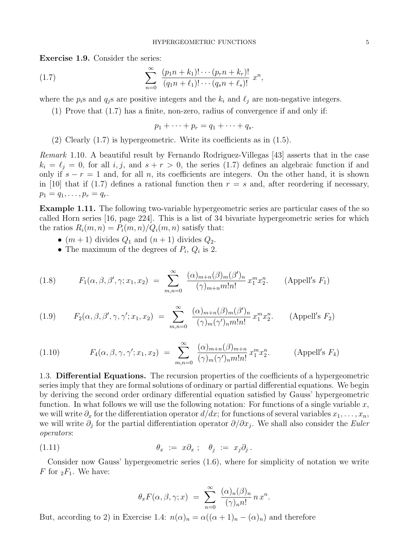Exercise 1.9. Consider the series:

(1.7) 
$$
\sum_{n=0}^{\infty} \frac{(p_1 n + k_1)! \cdots (p_r n + k_r)!}{(q_1 n + \ell_1)! \cdots (q_s n + \ell_s)!} x^n,
$$

where the  $p_i$ s and  $q_j$ s are positive integers and the  $k_i$  and  $\ell_j$  are non-negative integers.

(1) Prove that (1.7) has a finite, non-zero, radius of convergence if and only if:

$$
p_1 + \cdots + p_r = q_1 + \cdots + q_s.
$$

(2) Clearly (1.7) is hypergeometric. Write its coefficients as in (1.5).

Remark 1.10. A beautiful result by Fernando Rodriguez-Villegas [43] asserts that in the case  $k_i = \ell_j = 0$ , for all i, j, and  $s + r > 0$ , the series (1.7) defines an algebraic function if and only if  $s - r = 1$  and, for all n, its coefficients are integers. On the other hand, it is shown in [10] that if (1.7) defines a rational function then  $r = s$  and, after reordering if necessary,  $p_1 = q_1, \ldots, p_r = q_r.$ 

Example 1.11. The following two-variable hypergeometric series are particular cases of the so called Horn series [16, page 224]. This is a list of 34 bivariate hypergeometric series for which the ratios  $R_i(m, n) = P_i(m, n) / Q_i(m, n)$  satisfy that:

- $(m+1)$  divides  $Q_1$  and  $(n+1)$  divides  $Q_2$ .
- The maximum of the degrees of  $P_i$ ,  $Q_i$  is 2.

(1.8) 
$$
F_1(\alpha, \beta, \beta', \gamma; x_1, x_2) = \sum_{m,n=0}^{\infty} \frac{(\alpha)_{m+n}(\beta)_m(\beta')_n}{(\gamma)_{m+n}m!n!} x_1^m x_2^n.
$$
 (Append's *F*<sub>1</sub>)

(1.9) 
$$
F_2(\alpha, \beta, \beta', \gamma, \gamma'; x_1, x_2) = \sum_{m,n=0}^{\infty} \frac{(\alpha)_{m+n}(\beta)_m(\beta')_n}{(\gamma)_m(\gamma')_n m! n!} x_1^m x_2^n.
$$
 (Append's  $F_2$ )

(1.10) 
$$
F_4(\alpha, \beta, \gamma, \gamma'; x_1, x_2) = \sum_{m,n=0}^{\infty} \frac{(\alpha)_{m+n}(\beta)_{m+n}}{(\gamma)_m(\gamma')_n m! n!} x_1^m x_2^n.
$$
 (Append's  $F_4$ )

1.3. Differential Equations. The recursion properties of the coefficients of a hypergeometric series imply that they are formal solutions of ordinary or partial differential equations. We begin by deriving the second order ordinary differential equation satisfied by Gauss' hypergeometric function. In what follows we will use the following notation: For functions of a single variable  $x$ , we will write  $\partial_x$  for the differentiation operator  $d/dx$ ; for functions of several variables  $x_1, \ldots, x_n$ , we will write  $\partial_j$  for the partial differentiation operator  $\partial/\partial x_j$ . We shall also consider the *Euler* operators:

(1.11) 
$$
\theta_x := x \partial_x ; \quad \theta_j := x_j \partial_j .
$$

Consider now Gauss' hypergeometric series (1.6), where for simplicity of notation we write F for  $_2F_1$ . We have:

$$
\theta_x F(\alpha, \beta, \gamma; x) = \sum_{n=0}^{\infty} \frac{(\alpha)_n (\beta)_n}{(\gamma)_n n!} n x^n.
$$

But, according to 2) in Exercise 1.4:  $n(\alpha)_n = \alpha((\alpha+1)_n - (\alpha)_n)$  and therefore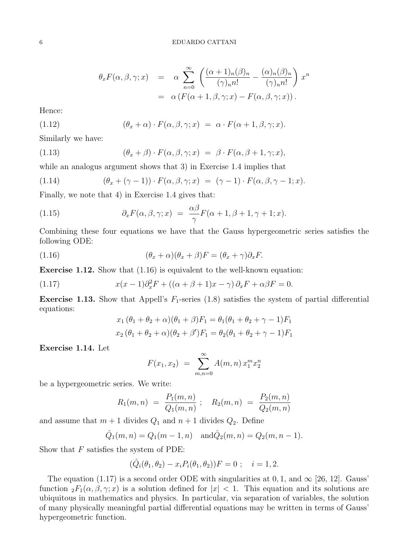$$
\theta_x F(\alpha, \beta, \gamma; x) = \alpha \sum_{n=0}^{\infty} \left( \frac{(\alpha + 1)_n (\beta)_n}{(\gamma)_n n!} - \frac{(\alpha)_n (\beta)_n}{(\gamma)_n n!} \right) x^n
$$
  
=  $\alpha \left( F(\alpha + 1, \beta, \gamma; x) - F(\alpha, \beta, \gamma; x) \right).$ 

Hence:

(1.12) 
$$
(\theta_x + \alpha) \cdot F(\alpha, \beta, \gamma; x) = \alpha \cdot F(\alpha + 1, \beta, \gamma; x).
$$

Similarly we have:

(1.13) 
$$
(\theta_x + \beta) \cdot F(\alpha, \beta, \gamma; x) = \beta \cdot F(\alpha, \beta + 1, \gamma; x),
$$

while an analogus argument shows that 3) in Exercise 1.4 implies that

(1.14) 
$$
(\theta_x + (\gamma - 1)) \cdot F(\alpha, \beta, \gamma; x) = (\gamma - 1) \cdot F(\alpha, \beta, \gamma - 1; x).
$$

Finally, we note that 4) in Exercise 1.4 gives that:

(1.15) 
$$
\partial_x F(\alpha, \beta, \gamma; x) = \frac{\alpha \beta}{\gamma} F(\alpha + 1, \beta + 1, \gamma + 1; x).
$$

Combining these four equations we have that the Gauss hypergeometric series satisfies the following ODE:

(1.16) 
$$
(\theta_x + \alpha)(\theta_x + \beta)F = (\theta_x + \gamma)\partial_x F.
$$

Exercise 1.12. Show that (1.16) is equivalent to the well-known equation:

(1.17) 
$$
x(x-1)\partial_x^2 F + ((\alpha + \beta + 1)x - \gamma) \partial_x F + \alpha \beta F = 0.
$$

**Exercise 1.13.** Show that Appell's  $F_1$ -series (1.8) satisfies the system of partial differential equations:

$$
x_1 (\theta_1 + \theta_2 + \alpha)(\theta_1 + \beta)F_1 = \theta_1(\theta_1 + \theta_2 + \gamma - 1)F_1
$$
  

$$
x_2 (\theta_1 + \theta_2 + \alpha)(\theta_2 + \beta')F_1 = \theta_2(\theta_1 + \theta_2 + \gamma - 1)F_1
$$

Exercise 1.14. Let

$$
F(x_1, x_2) = \sum_{m,n=0}^{\infty} A(m,n) x_1^m x_2^n
$$

be a hypergeometric series. We write:

$$
R_1(m,n) = \frac{P_1(m,n)}{Q_1(m,n)}; \quad R_2(m,n) = \frac{P_2(m,n)}{Q_2(m,n)}
$$

and assume that  $m + 1$  divides  $Q_1$  and  $n + 1$  divides  $Q_2$ . Define

$$
\hat{Q}_1(m,n) = Q_1(m-1,n)
$$
 and  $\hat{Q}_2(m,n) = Q_2(m,n-1)$ .

Show that  $F$  satisfies the system of PDE:

$$
(\hat{Q}_i(\theta_1, \theta_2) - x_i P_i(\theta_1, \theta_2))F = 0 \; ; \quad i = 1, 2.
$$

The equation (1.17) is a second order ODE with singularities at 0, 1, and  $\infty$  [26, 12]. Gauss' function  ${}_2F_1(\alpha,\beta,\gamma;x)$  is a solution defined for  $|x| < 1$ . This equation and its solutions are ubiquitous in mathematics and physics. In particular, via separation of variables, the solution of many physically meaningful partial differential equations may be written in terms of Gauss' hypergeometric function.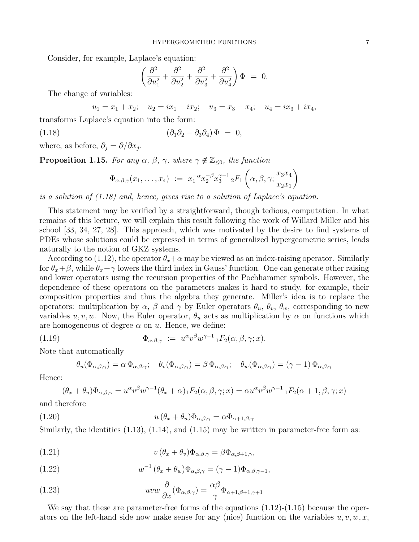Consider, for example, Laplace's equation:

$$
\left(\frac{\partial^2}{\partial u_1^2} + \frac{\partial^2}{\partial u_2^2} + \frac{\partial^2}{\partial u_3^2} + \frac{\partial^2}{\partial u_4^2}\right)\Phi = 0.
$$

The change of variables:

 $u_1 = x_1 + x_2; \quad u_2 = ix_1 - ix_2; \quad u_3 = x_3 - x_4; \quad u_4 = ix_3 + ix_4,$ 

transforms Laplace's equation into the form:

$$
(1.18) \qquad (\partial_1 \partial_2 - \partial_3 \partial_4) \Phi = 0,
$$

where, as before,  $\partial_j = \partial/\partial x_j$ .

**Proposition 1.15.** For any  $\alpha$ ,  $\beta$ ,  $\gamma$ , where  $\gamma \notin \mathbb{Z}_{\leq 0}$ , the function

$$
\Phi_{\alpha,\beta,\gamma}(x_1,\ldots,x_4) := x_1^{-\alpha} x_2^{-\beta} x_3^{\gamma-1} {}_2F_1\left(\alpha,\beta,\gamma;\frac{x_3x_4}{x_2x_1}\right)
$$

is a solution of (1.18) and, hence, gives rise to a solution of Laplace's equation.

This statement may be verified by a straightforward, though tedious, computation. In what remains of this lecture, we will explain this result following the work of Willard Miller and his school [33, 34, 27, 28]. This approach, which was motivated by the desire to find systems of PDEs whose solutions could be expressed in terms of generalized hypergeometric series, leads naturally to the notion of GKZ systems.

According to (1.12), the operator  $\theta_x+\alpha$  may be viewed as an index-raising operator. Similarly for  $\theta_x+\beta$ , while  $\theta_x+\gamma$  lowers the third index in Gauss' function. One can generate other raising and lower operators using the recursion properties of the Pochhammer symbols. However, the dependence of these operators on the parameters makes it hard to study, for example, their composition properties and thus the algebra they generate. Miller's idea is to replace the operators: multiplication by  $\alpha$ ,  $\beta$  and  $\gamma$  by Euler operators  $\theta_u$ ,  $\theta_v$ ,  $\theta_w$ , corresponding to new variables  $u, v, w$ . Now, the Euler operator,  $\theta_u$  acts as multiplication by  $\alpha$  on functions which are homogeneous of degree  $\alpha$  on  $u$ . Hence, we define:

(1.19) 
$$
\Phi_{\alpha,\beta,\gamma} := u^{\alpha}v^{\beta}w^{\gamma-1}{}_1F_2(\alpha,\beta,\gamma;x).
$$

Note that automatically

$$
\theta_u(\Phi_{\alpha,\beta,\gamma}) = \alpha \Phi_{\alpha,\beta,\gamma}; \quad \theta_v(\Phi_{\alpha,\beta,\gamma}) = \beta \Phi_{\alpha,\beta,\gamma}; \quad \theta_w(\Phi_{\alpha,\beta,\gamma}) = (\gamma - 1) \Phi_{\alpha,\beta,\gamma}
$$

Hence:

$$
(\theta_x + \theta_u)\Phi_{\alpha,\beta,\gamma} = u^{\alpha}v^{\beta}w^{\gamma-1}(\theta_x + \alpha) \cdot F_2(\alpha,\beta,\gamma;x) = \alpha u^{\alpha}v^{\beta}w^{\gamma-1} \cdot F_2(\alpha+1,\beta,\gamma;x)
$$

and therefore

(1.20) 
$$
u(\theta_x + \theta_u)\Phi_{\alpha,\beta,\gamma} = \alpha \Phi_{\alpha+1,\beta,\gamma}
$$

Similarly, the identities  $(1.13)$ ,  $(1.14)$ , and  $(1.15)$  may be written in parameter-free form as:

(1.21) 
$$
v(\theta_x + \theta_v)\Phi_{\alpha,\beta,\gamma} = \beta\Phi_{\alpha,\beta+1,\gamma},
$$

(1.22) 
$$
w^{-1} (\theta_x + \theta_w) \Phi_{\alpha,\beta,\gamma} = (\gamma - 1) \Phi_{\alpha,\beta,\gamma-1},
$$

(1.23) 
$$
uvw \frac{\partial}{\partial x}(\Phi_{\alpha,\beta,\gamma}) = \frac{\alpha\beta}{\gamma}\Phi_{\alpha+1,\beta+1,\gamma+1}
$$

We say that these are parameter-free forms of the equations  $(1.12)-(1.15)$  because the operators on the left-hand side now make sense for any (nice) function on the variables  $u, v, w, x$ ,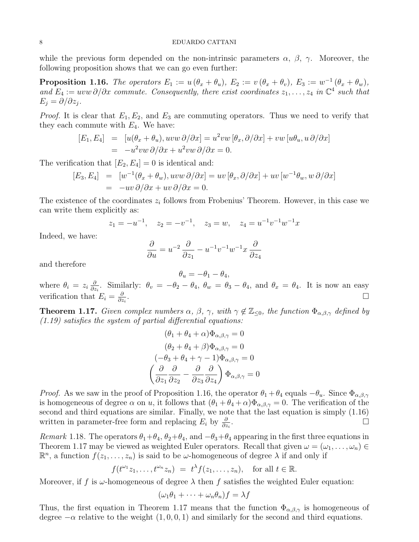while the previous form depended on the non-intrinsic parameters  $\alpha$ ,  $\beta$ ,  $\gamma$ . Moreover, the following proposition shows that we can go even further:

**Proposition 1.16.** The operators  $E_1 := u(\theta_x + \theta_u)$ ,  $E_2 := v(\theta_x + \theta_v)$ ,  $E_3 := w^{-1}(\theta_x + \theta_w)$ , and  $E_4 := uvw \partial/\partial x$  commute. Consequently, there exist coordinates  $z_1, \ldots, z_4$  in  $\mathbb{C}^4$  such that  $E_j = \partial/\partial z_j$ .

*Proof.* It is clear that  $E_1, E_2$ , and  $E_3$  are commuting operators. Thus we need to verify that they each commute with  $E_4$ . We have:

$$
[E_1, E_4] = [u(\theta_x + \theta_u), uvw \partial/\partial x] = u^2vw [\theta_x, \partial/\partial x] + vw [u\theta_u, u \partial/\partial x]
$$
  
=  $-u^2vw \partial/\partial x + u^2vw \partial/\partial x = 0.$ 

The verification that  $[E_2, E_4] = 0$  is identical and:

$$
\begin{array}{rcl}\n[E_3, E_4] & = & [w^{-1}(\theta_x + \theta_w), uvw \,\partial/\partial x] = uv \,[\theta_x, \partial/\partial x] + uv \,[w^{-1}\theta_w, w \,\partial/\partial x] \\
& = & -uv \,\partial/\partial x + uv \,\partial/\partial x = 0.\n\end{array}
$$

The existence of the coordinates  $z_i$  follows from Frobenius' Theorem. However, in this case we can write them explicitly as:

$$
z_1 = -u^{-1}
$$
,  $z_2 = -v^{-1}$ ,  $z_3 = w$ ,  $z_4 = u^{-1}v^{-1}w^{-1}x$ 

Indeed, we have:

$$
\frac{\partial}{\partial u} = u^{-2} \frac{\partial}{\partial z_1} - u^{-1} v^{-1} w^{-1} x \frac{\partial}{\partial z_4}
$$

and therefore

 $\theta_u = -\theta_1 - \theta_4,$ where  $\theta_i = z_i \frac{\partial}{\partial z_i}$  $\frac{\partial}{\partial z_i}$ . Similarly:  $\theta_v = -\theta_2 - \theta_4$ ,  $\theta_w = \theta_3 - \theta_4$ , and  $\theta_x = \theta_4$ . It is now an easy verification that  $E_i = \frac{\partial}{\partial z_i}$  $\partial z_i$ . В последните последните последните последните последните последните последните последните последните последн<br>В 1990 година от селото на селото на селото на селото на селото на селото на селото на селото на селото на сел

**Theorem 1.17.** Given complex numbers  $\alpha$ ,  $\beta$ ,  $\gamma$ , with  $\gamma \notin \mathbb{Z}_{\leq 0}$ , the function  $\Phi_{\alpha,\beta,\gamma}$  defined by  $(1.19)$  satisfies the system of partial differential equations:

$$
(\theta_1 + \theta_4 + \alpha)\Phi_{\alpha,\beta,\gamma} = 0
$$

$$
(\theta_2 + \theta_4 + \beta)\Phi_{\alpha,\beta,\gamma} = 0
$$

$$
(-\theta_3 + \theta_4 + \gamma - 1)\Phi_{\alpha,\beta,\gamma} = 0
$$

$$
\left(\frac{\partial}{\partial z_1}\frac{\partial}{\partial z_2} - \frac{\partial}{\partial z_3}\frac{\partial}{\partial z_4}\right)\Phi_{\alpha,\beta,\gamma} = 0
$$

*Proof.* As we saw in the proof of Proposition 1.16, the operator  $\theta_1 + \theta_4$  equals  $-\theta_u$ . Since  $\Phi_{\alpha,\beta,\gamma}$ is homogeneous of degree  $\alpha$  on u, it follows that  $(\theta_1 + \theta_4 + \alpha)\Phi_{\alpha,\beta,\gamma} = 0$ . The verification of the second and third equations are similar. Finally, we note that the last equation is simply (1.16) written in parameter-free form and replacing  $E_i$  by  $\frac{\partial}{\partial z_i}$ .

Remark 1.18. The operators  $\theta_1+\theta_4$ ,  $\theta_2+\theta_4$ , and  $-\theta_3+\theta_4$  appearing in the first three equations in Theorem 1.17 may be viewed as weighted Euler operators. Recall that given  $\omega = (\omega_1, \ldots, \omega_n) \in$  $\mathbb{R}^n$ , a function  $f(z_1,\ldots,z_n)$  is said to be  $\omega$ -homogeneous of degree  $\lambda$  if and only if

$$
f(t^{\omega_1}z_1,\ldots,t^{\omega_n}z_n) = t^{\lambda}f(z_1,\ldots,z_n), \text{ for all } t \in \mathbb{R}.
$$

Moreover, if f is  $\omega$ -homogeneous of degree  $\lambda$  then f satisfies the weighted Euler equation:

$$
(\omega_1 \theta_1 + \dots + \omega_n \theta_n) f = \lambda f
$$

Thus, the first equation in Theorem 1.17 means that the function  $\Phi_{\alpha,\beta,\gamma}$  is homogeneous of degree  $-\alpha$  relative to the weight  $(1, 0, 0, 1)$  and similarly for the second and third equations.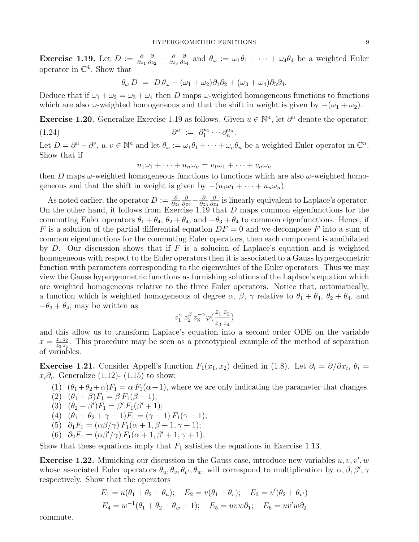Exercise 1.19. Let  $D := \frac{\partial}{\partial z_1}$ ∂  $\frac{\partial}{\partial z_2} - \frac{\partial}{\partial z}$ ∂z<sup>3</sup> ∂  $\frac{\partial}{\partial z_4}$  and  $\theta_\omega := \omega_1 \theta_1 + \cdots + \omega_4 \theta_4$  be a weighted Euler operator in  $\mathbb{C}^4$ . Show that

$$
\theta_{\omega} D = D \theta_{\omega} - (\omega_1 + \omega_2) \partial_1 \partial_2 + (\omega_3 + \omega_4) \partial_3 \partial_4.
$$

Deduce that if  $\omega_1 + \omega_2 = \omega_3 + \omega_4$  then D maps  $\omega$ -weighted homogeneous functions to functions which are also  $\omega$ -weighted homogeneous and that the shift in weight is given by  $-(\omega_1 + \omega_2)$ .

Exercise 1.20. Generalize Exercise 1.19 as follows. Given  $u \in \mathbb{N}^n$ , let  $\partial^u$  denote the operator:  $(1.24)$  $u := \partial_1^{u_1} \cdots \partial_n^{u_n}.$ 

Let  $D = \partial^u - \partial^v$ ,  $u, v \in \mathbb{N}^n$  and let  $\theta_\omega := \omega_1 \theta_1 + \cdots + \omega_n \theta_n$  be a weighted Euler operator in  $\mathbb{C}^n$ . Show that if

$$
u_1\omega_1 + \dots + u_n\omega_n = v_1\omega_1 + \dots + v_n\omega_n
$$

then D maps  $\omega$ -weighted homogeneous functions to functions which are also  $\omega$ -weighted homogeneous and that the shift in weight is given by  $-(u_1\omega_1 + \cdots + u_n\omega_n)$ .

As noted earlier, the operator  $D := \frac{\partial}{\partial z_1}$ ∂  $\frac{\partial}{\partial z_2} - \frac{\partial}{\partial z}$ ∂z<sup>3</sup> ∂  $\frac{\partial}{\partial z_4}$  is linearly equivalent to Laplace's operator. On the other hand, it follows from Exercise 1.19 that D maps common eigenfunctions for the commuting Euler operators  $\theta_1 + \theta_4$ ,  $\theta_2 + \theta_4$ , and  $-\theta_3 + \theta_4$  to common eigenfunctions. Hence, if F is a solution of the partial differential equation  $DF = 0$  and we decompose F into a sum of common eigenfunctions for the commuting Euler operators, then each component is annihilated by D. Our discussion shows that if F is a solucion of Laplace's equation and is weighted homogeneous with respect to the Euler operators then it is associated to a Gauss hypergeometric function with parameters corresponding to the eigenvalues of the Euler operators. Thus we may view the Gauss hypergeometric functions as furnishing solutions of the Laplace's equation which are weighted homogeneous relative to the three Euler operators. Notice that, automatically, a function which is weighted homogeneous of degree  $\alpha$ ,  $\beta$ ,  $\gamma$  relative to  $\theta_1 + \theta_4$ ,  $\theta_2 + \theta_4$ , and  $-\theta_3 + \theta_4$ , may be written as

$$
z_1^{\alpha} \, z_2^{\beta} \, z_3^{-\gamma} \varphi(\frac{z_1 \, z_2}{z_3 \, z_4})
$$

and this allow us to transform Laplace's equation into a second order ODE on the variable  $x = \frac{z_1 z_2}{z_2 z_1}$  $\frac{z_1 z_2}{z_3 z_4}$ . This procedure may be seen as a prototypical example of the method of separation of variables.

Exercise 1.21. Consider Appell's function  $F_1(x_1, x_2)$  defined in (1.8). Let  $\partial_i = \partial/\partial x_i$ ,  $\theta_i =$  $x_i \partial_i$ . Generalize (1.12)- (1.15) to show:

- (1)  $(\theta_1+\theta_2+\alpha)F_1 = \alpha F_1(\alpha+1)$ , where we are only indicating the parameter that changes.
- (2)  $(\theta_1 + \beta)F_1 = \beta F_1(\beta + 1);$
- (3)  $(\theta_2 + \beta')F_1 = \beta' F_1(\beta' + 1);$
- (4)  $(\theta_1 + \theta_2 + \gamma 1)F_1 = (\gamma 1) F_1(\gamma 1);$
- (5)  $\partial_1 F_1 = (\alpha \beta / \gamma) F_1(\alpha + 1, \beta + 1, \gamma + 1);$
- (6)  $\partial_2 F_1 = (\alpha \beta'/\gamma) F_1(\alpha + 1, \beta' + 1, \gamma + 1);$

Show that these equations imply that  $F_1$  satisfies the equations in Exercise 1.13.

**Exercise 1.22.** Mimicking our discussion in the Gauss case, introduce new variables  $u, v, v', w$ whose associated Euler operators  $\theta_u, \theta_v, \theta_{v'}, \theta_w$ , will correspond to multiplication by  $\alpha, \beta, \beta', \gamma$ respectively. Show that the operators

$$
E_1 = u(\theta_1 + \theta_2 + \theta_u); \quad E_2 = v(\theta_1 + \theta_v); \quad E_3 = v'(\theta_2 + \theta_{v'})
$$
  

$$
E_4 = w^{-1}(\theta_1 + \theta_2 + \theta_w - 1); \quad E_5 = uvw\partial_1; \quad E_6 = uv'w\partial_2
$$

commute.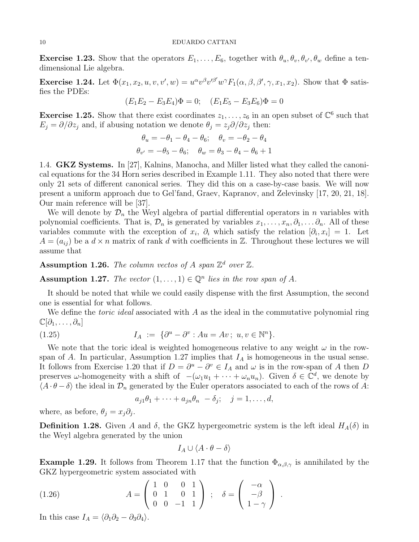**Exercise 1.23.** Show that the operators  $E_1, \ldots, E_6$ , together with  $\theta_u, \theta_v, \theta_{v'}, \theta_w$  define a tendimensional Lie algebra.

Exercise 1.24. Let  $\Phi(x_1, x_2, u, v, v', w) = u^{\alpha}v^{\beta}v'^{\beta'}w^{\gamma}F_1(\alpha, \beta, \beta', \gamma, x_1, x_2)$ . Show that  $\Phi$  satisfies the PDEs:

$$
(E_1E_2 - E_3E_4)\Phi = 0; \quad (E_1E_5 - E_3E_6)\Phi = 0
$$

**Exercise 1.25.** Show that there exist coordinates  $z_1, \ldots, z_6$  in an open subset of  $\mathbb{C}^6$  such that  $E_j = \partial/\partial z_j$  and, if abusing notation we denote  $\theta_j = z_j \partial/\partial z_j$  then:

$$
\theta_u = -\theta_1 - \theta_4 - \theta_6; \quad \theta_v = -\theta_2 - \theta_4
$$

$$
\theta_{v'} = -\theta_5 - \theta_6; \quad \theta_w = \theta_3 - \theta_4 - \theta_6 + 1
$$

1.4. GKZ Systems. In [27], Kalnins, Manocha, and Miller listed what they called the canonical equations for the 34 Horn series described in Example 1.11. They also noted that there were only 21 sets of different canonical series. They did this on a case-by-case basis. We will now present a uniform approach due to Gel'fand, Graev, Kapranov, and Zelevinsky [17, 20, 21, 18]. Our main reference will be [37].

We will denote by  $\mathcal{D}_n$  the Weyl algebra of partial differential operators in n variables with polynomial coefficients. That is,  $\mathcal{D}_n$  is generated by variables  $x_1, \ldots, x_n, \partial_1, \ldots, \partial_n$ . All of these variables commute with the exception of  $x_i$ ,  $\partial_i$  which satisfy the relation  $[\partial_i, x_i] = 1$ . Let  $A = (a_{ij})$  be a  $d \times n$  matrix of rank d with coefficients in Z. Throughout these lectures we will assume that

**Assumption 1.26.** The column vectos of A span  $\mathbb{Z}^d$  over  $\mathbb{Z}$ .

**Assumption 1.27.** The vector  $(1, \ldots, 1) \in \mathbb{Q}^n$  lies in the row span of A.

It should be noted that while we could easily dispense with the first Assumption, the second one is essential for what follows.

We define the *toric ideal* associated with  $A$  as the ideal in the commutative polynomial ring  $\mathbb{C}[\partial_1,\ldots,\partial_n]$ 

(1.25) 
$$
I_A := \{ \partial^u - \partial^v : Au = Av \, ; \, u, v \in \mathbb{N}^n \}.
$$

We note that the toric ideal is weighted homogeneous relative to any weight  $\omega$  in the rowspan of A. In particular, Assumption 1.27 implies that  $I<sub>A</sub>$  is homogeneous in the usual sense. It follows from Exercise 1.20 that if  $D = \partial^u - \partial^v \in I_A$  and  $\omega$  is in the row-span of A then D preserves  $\omega$ -homogeneity with a shift of  $-(\omega_1 u_1 + \cdots + \omega_n u_n)$ . Given  $\delta \in \mathbb{C}^d$ , we denote by  $\langle A \cdot \theta - \delta \rangle$  the ideal in  $\mathcal{D}_n$  generated by the Euler operators associated to each of the rows of A:

$$
a_{j1}\theta_1 + \cdots + a_{jn}\theta_n - \delta_j; \quad j = 1, \ldots, d,
$$

where, as before,  $\theta_j = x_j \partial_j$ .

**Definition 1.28.** Given A and  $\delta$ , the GKZ hypergeometric system is the left ideal  $H_A(\delta)$  in the Weyl algebra generated by the union

$$
I_A \cup \langle A \cdot \theta - \delta \rangle
$$

**Example 1.29.** It follows from Theorem 1.17 that the function  $\Phi_{\alpha,\beta,\gamma}$  is annihilated by the GKZ hypergeometric system associated with

(1.26) 
$$
A = \begin{pmatrix} 1 & 0 & 0 & 1 \\ 0 & 1 & 0 & 1 \\ 0 & 0 & -1 & 1 \end{pmatrix} ; \quad \delta = \begin{pmatrix} -\alpha \\ -\beta \\ 1 - \gamma \end{pmatrix}.
$$

In this case  $I_A = \langle \partial_1 \partial_2 - \partial_3 \partial_4 \rangle$ .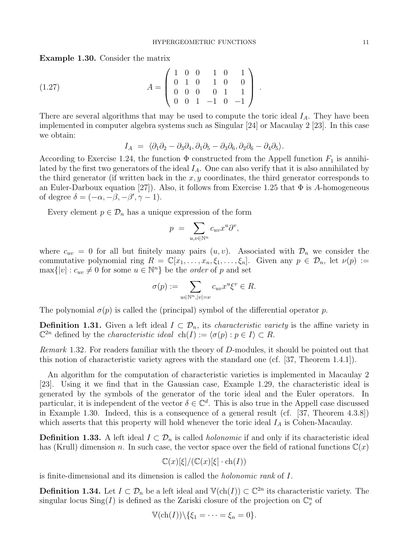Example 1.30. Consider the matrix

$$
(1.27) \t\t A = \begin{pmatrix} 1 & 0 & 0 & 1 & 0 & 1 \\ 0 & 1 & 0 & 1 & 0 & 0 \\ 0 & 0 & 0 & 0 & 1 & 1 \\ 0 & 0 & 1 & -1 & 0 & -1 \end{pmatrix}.
$$

There are several algorithms that may be used to compute the toric ideal  $I<sub>A</sub>$ . They have been implemented in computer algebra systems such as Singular [24] or Macaulay 2 [23]. In this case we obtain:

$$
I_A = \langle \partial_1 \partial_2 - \partial_3 \partial_4, \partial_1 \partial_5 - \partial_3 \partial_6, \partial_2 \partial_6 - \partial_4 \partial_5 \rangle.
$$

According to Exercise 1.24, the function  $\Phi$  constructed from the Appell function  $F_1$  is annihilated by the first two generators of the ideal  $I_A$ . One can also verify that it is also annihilated by the third generator (if written back in the  $x, y$  coordinates, the third generator corresponds to an Euler-Darboux equation [27]). Also, it follows from Exercise 1.25 that  $\Phi$  is A-homogeneous of degree  $\delta = (-\alpha, -\beta, -\beta', \gamma - 1)$ .

Every element  $p \in \mathcal{D}_n$  has a unique expression of the form

$$
p = \sum_{u,v \in \mathbb{N}^n} c_{uv} x^u \partial^v,
$$

where  $c_{uv} = 0$  for all but finitely many pairs  $(u, v)$ . Associated with  $\mathcal{D}_n$  we consider the commutative polynomial ring  $R = \mathbb{C}[x_1,\ldots,x_n,\xi_1,\ldots,\xi_n]$ . Given any  $p \in \mathcal{D}_n$ , let  $\nu(p) :=$  $\max\{|v| : c_{uv} \neq 0$  for some  $u \in \mathbb{N}^n\}$  be the *order* of p and set

$$
\sigma(p) := \sum_{u \in \mathbb{N}^n, |v| = \nu} c_{uv} x^u \xi^v \in R.
$$

The polynomial  $\sigma(p)$  is called the (principal) symbol of the differential operator p.

**Definition 1.31.** Given a left ideal  $I \subset \mathcal{D}_n$ , its *characteristic variety* is the affine variety in  $\mathbb{C}^{2n}$  defined by the *characteristic ideal* ch(*I*) :=  $\langle \sigma(p) : p \in I \rangle \subset R$ .

Remark 1.32. For readers familiar with the theory of D-modules, it should be pointed out that this notion of characteristic variety agrees with the standard one (cf. [37, Theorem 1.4.1]).

An algorithm for the computation of characteristic varieties is implemented in Macaulay 2 [23]. Using it we find that in the Gaussian case, Example 1.29, the characteristic ideal is generated by the symbols of the generator of the toric ideal and the Euler operators. In particular, it is independent of the vector  $\delta \in \mathbb{C}^d$ . This is also true in the Appell case discussed in Example 1.30. Indeed, this is a consequence of a general result (cf. [37, Theorem 4.3.8]) which asserts that this property will hold whenever the toric ideal  $I_A$  is Cohen-Macaulay.

**Definition 1.33.** A left ideal  $I \subset \mathcal{D}_n$  is called *holonomic* if and only if its characteristic ideal has (Krull) dimension n. In such case, the vector space over the field of rational functions  $\mathbb{C}(x)$ 

$$
\mathbb{C}(x)[\xi]/(\mathbb{C}(x)[\xi] \cdot \mathrm{ch}(I))
$$

is finite-dimensional and its dimension is called the holonomic rank of I.

**Definition 1.34.** Let  $I \subset \mathcal{D}_n$  be a left ideal and  $\mathbb{V}(\text{ch}(I)) \subset \mathbb{C}^{2n}$  its characteristic variety. The singular locus  $\text{Sing}(I)$  is defined as the Zariski closure of the projection on  $\mathbb{C}_x^n$  of

$$
\mathbb{V}(\mathrm{ch}(I))\backslash\{\xi_1=\cdots=\xi_n=0\}.
$$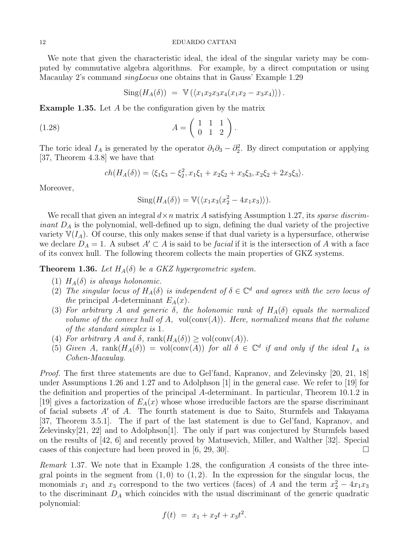We note that given the characteristic ideal, the ideal of the singular variety may be computed by commutative algebra algorithms. For example, by a direct computation or using Macaulay 2's command singLocus one obtains that in Gauss' Example 1.29

$$
Sing(H_A(\delta)) = V(\langle x_1x_2x_3x_4(x_1x_2 - x_3x_4 \rangle)).
$$

Example 1.35. Let A be the configuration given by the matrix

$$
(1.28) \qquad \qquad A = \left(\begin{array}{rrr} 1 & 1 & 1 \\ 0 & 1 & 2 \end{array}\right).
$$

The toric ideal  $I_A$  is generated by the operator  $\partial_1\partial_3 - \partial_2^2$ . By direct computation or applying [37, Theorem 4.3.8] we have that

$$
ch(H_A(\delta)) = \langle \xi_1 \xi_3 - \xi_2^2, x_1 \xi_1 + x_2 \xi_2 + x_3 \xi_3, x_2 \xi_2 + 2x_3 \xi_3 \rangle.
$$

Moreover,

$$
Sing(H_A(\delta)) = \mathbb{V}(\langle x_1 x_3 (x_2^2 - 4x_1 x_3) \rangle).
$$

We recall that given an integral  $d \times n$  matrix A satisfying Assumption 1.27, its sparse discrim*inant*  $D_A$  is the polynomial, well-defined up to sign, defining the dual variety of the projective variety  $\mathbb{V}(I_A)$ . Of course, this only makes sense if that dual variety is a hypersurface, otherwise we declare  $D_A = 1$ . A subset  $A' \subset A$  is said to be *facial* if it is the intersection of A with a face of its convex hull. The following theorem collects the main properties of GKZ systems.

**Theorem 1.36.** Let  $H_A(\delta)$  be a GKZ hypergeometric system.

- (1)  $H_A(\delta)$  is always holonomic.
- (2) The singular locus of  $H_A(\delta)$  is independent of  $\delta \in \mathbb{C}^d$  and agrees with the zero locus of the principal A-determinant  $E_A(x)$ .
- (3) For arbitrary A and generic  $\delta$ , the holonomic rank of  $H_A(\delta)$  equals the normalized volume of the convex hull of A,  $vol(\text{conv}(A))$ . Here, normalized means that the volume of the standard simplex is 1.
- (4) For arbitrary A and  $\delta$ , rank $(H_A(\delta)) \geq \text{vol}(\text{conv}(A)).$
- (5) Given A, rank $(H_A(\delta)) = \text{vol}(\text{conv}(A))$  for all  $\delta \in \mathbb{C}^d$  if and only if the ideal  $I_A$  is Cohen-Macaulay.

Proof. The first three statements are due to Gel'fand, Kapranov, and Zelevinsky [20, 21, 18] under Assumptions 1.26 and 1.27 and to Adolphson [1] in the general case. We refer to [19] for the definition and properties of the principal A-determinant. In particular, Theorem 10.1.2 in [19] gives a factorization of  $E_A(x)$  whose whose irreducible factors are the sparse discriminant of facial subsets  $A'$  of A. The fourth statement is due to Saito, Sturmfels and Takayama [37, Theorem 3.5.1]. The if part of the last statement is due to Gel'fand, Kapranov, and Zelevinsky[21, 22] and to Adolphson[1]. The only if part was conjectured by Sturmfels based on the results of [42, 6] and recently proved by Matusevich, Miller, and Walther [32]. Special cases of this conjecture had been proved in  $(6, 29, 30)$ .

Remark 1.37. We note that in Example 1.28, the configuration  $\vec{A}$  consists of the three integral points in the segment from  $(1, 0)$  to  $(1, 2)$ . In the expression for the singular locus, the monomials  $x_1$  and  $x_3$  correspond to the two vertices (faces) of A and the term  $x_2^2 - 4x_1x_3$ to the discriminant  $D_A$  which coincides with the usual discriminant of the generic quadratic polynomial:

$$
f(t) = x_1 + x_2t + x_3t^2.
$$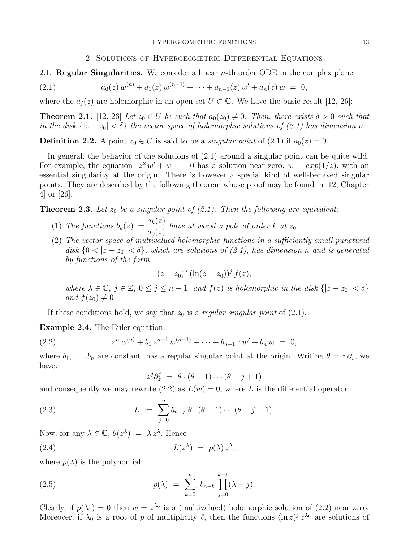# 2. Solutions of Hypergeometric Differential Equations

2.1. **Regular Singularities.** We consider a linear  $n$ -th order ODE in the complex plane:

(2.1) 
$$
a_0(z) w^{(n)} + a_1(z) w^{(n-1)} + \cdots + a_{n-1}(z) w' + a_n(z) w = 0,
$$

where the  $a_i(z)$  are holomorphic in an open set  $U \subset \mathbb{C}$ . We have the basic result [12, 26]:

**Theorem 2.1.** [12, 26] Let  $z_0 \in U$  be such that  $a_0(z_0) \neq 0$ . Then, there exists  $\delta > 0$  such that in the disk  $\{|z - z_0| < \delta\}$  the vector space of holomorphic solutions of (2.1) has dimension n.

**Definition 2.2.** A point  $z_0 \in U$  is said to be a *singular point* of (2.1) if  $a_0(z) = 0$ .

In general, the behavior of the solutions of  $(2.1)$  around a singular point can be quite wild. For example, the equation  $z^2 w' + w = 0$  has a solution near zero,  $w = exp(1/z)$ , with an essential singularity at the origin. There is however a special kind of well-behaved singular points. They are described by the following theorem whose proof may be found in [12, Chapter 4] or [26].

**Theorem 2.3.** Let  $z_0$  be a singular point of  $(2.1)$ . Then the following are equivalent:

- (1) The functions  $b_k(z) := \frac{a_k(z)}{z(z)}$  $a_0(z)$ have at worst a pole of order  $k$  at  $z_0$ .
- (2) The vector space of multivalued holomorphic functions in a sufficiently small punctured disk  ${0 < |z - z_0| < \delta}$ , which are solutions of (2.1), has dimension n and is generated by functions of the form

$$
(z-z_0)^\lambda (\ln(z-z_0))^j f(z),
$$

where  $\lambda \in \mathbb{C}$ ,  $j \in \mathbb{Z}$ ,  $0 \leq j \leq n-1$ , and  $f(z)$  is holomorphic in the disk  $\{|z - z_0| < \delta\}$ and  $f(z_0) \neq 0$ .

If these conditions hold, we say that  $z_0$  is a regular singular point of (2.1).

Example 2.4. The Euler equation:

(2.2) 
$$
z^n w^{(n)} + b_1 z^{n-1} w^{(n-1)} + \cdots + b_{n-1} z w' + b_n w = 0,
$$

where  $b_1, \ldots, b_n$  are constant, has a regular singular point at the origin. Writing  $\theta = z \partial_z$ , we have:

$$
z^{j}\partial_{z}^{j} = \theta \cdot (\theta - 1) \cdots (\theta - j + 1)
$$

and consequently we may rewrite (2.2) as  $L(w) = 0$ , where L is the differential operator

(2.3) 
$$
L := \sum_{j=0}^{n} b_{n-j} \theta \cdot (\theta - 1) \cdots (\theta - j + 1).
$$

Now, for any  $\lambda \in \mathbb{C}$ ,  $\theta(z^{\lambda}) = \lambda z^{\lambda}$ . Hence

(2.4) 
$$
L(z^{\lambda}) = p(\lambda) z^{\lambda},
$$

where  $p(\lambda)$  is the polynomial

(2.5) 
$$
p(\lambda) = \sum_{k=0}^{n} b_{n-k} \prod_{j=0}^{k-1} (\lambda - j).
$$

Clearly, if  $p(\lambda_0) = 0$  then  $w = z^{\lambda_0}$  is a (multivalued) holomorphic solution of (2.2) near zero. Moreover, if  $\lambda_0$  is a root of p of multiplicity  $\ell$ , then the functions  $(\ln z)^j z^{\lambda_0}$  are solutions of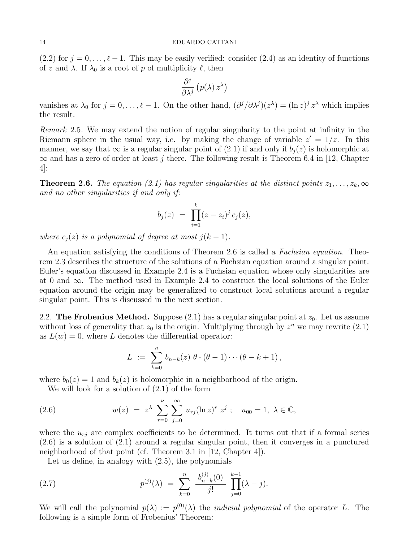(2.2) for  $j = 0, \ldots, \ell - 1$ . This may be easily verified: consider (2.4) as an identity of functions of z and  $\lambda$ . If  $\lambda_0$  is a root of p of multiplicity  $\ell$ , then

$$
\frac{\partial^j}{\partial \lambda^j}\left(p(\lambda)\,z^\lambda\right)
$$

vanishes at  $\lambda_0$  for  $j = 0, \ldots, \ell - 1$ . On the other hand,  $(\partial^j/\partial \lambda^j)(z^{\lambda}) = (\ln z)^j z^{\lambda}$  which implies the result.

Remark 2.5. We may extend the notion of regular singularity to the point at infinity in the Riemann sphere in the usual way, i.e. by making the change of variable  $z' = 1/z$ . In this manner, we say that  $\infty$  is a regular singular point of (2.1) if and only if  $b_i(z)$  is holomorphic at  $\infty$  and has a zero of order at least j there. The following result is Theorem 6.4 in [12, Chapter 4]:

**Theorem 2.6.** The equation (2.1) has regular singularities at the distinct points  $z_1, \ldots, z_k, \infty$ and no other singularities if and only if:

$$
b_j(z) = \prod_{i=1}^k (z - z_i)^j c_j(z),
$$

where  $c_j(z)$  is a polynomial of degree at most  $j(k-1)$ .

An equation satisfying the conditions of Theorem 2.6 is called a Fuchsian equation. Theorem 2.3 describes the structure of the solutions of a Fuchsian equation around a singular point. Euler's equation discussed in Example 2.4 is a Fuchsian equation whose only singularities are at 0 and  $\infty$ . The method used in Example 2.4 to construct the local solutions of the Euler equation around the origin may be generalized to construct local solutions around a regular singular point. This is discussed in the next section.

2.2. The Frobenius Method. Suppose (2.1) has a regular singular point at  $z_0$ . Let us assume without loss of generality that  $z_0$  is the origin. Multiplying through by  $z^n$  we may rewrite (2.1) as  $L(w) = 0$ , where L denotes the differential operator:

$$
L \; := \; \sum_{k=0}^n \, b_{n-k}(z) \; \theta \cdot (\theta - 1) \cdots (\theta - k + 1) \,,
$$

where  $b_0(z) = 1$  and  $b_k(z)$  is holomorphic in a neighborhood of the origin.

We will look for a solution of (2.1) of the form

(2.6) 
$$
w(z) = z^{\lambda} \sum_{r=0}^{\nu} \sum_{j=0}^{\infty} u_{rj} (\ln z)^r z^j ; \quad u_{00} = 1, \ \lambda \in \mathbb{C},
$$

where the  $u_{rj}$  are complex coefficients to be determined. It turns out that if a formal series (2.6) is a solution of (2.1) around a regular singular point, then it converges in a punctured neighborhood of that point (cf. Theorem 3.1 in [12, Chapter 4]).

Let us define, in analogy with (2.5), the polynomials

(2.7) 
$$
p^{(j)}(\lambda) = \sum_{k=0}^{n} \frac{b_{n-k}^{(j)}(0)}{j!} \prod_{j=0}^{k-1} (\lambda - j).
$$

We will call the polynomial  $p(\lambda) := p^{(0)}(\lambda)$  the *indicial polynomial* of the operator L. The following is a simple form of Frobenius' Theorem: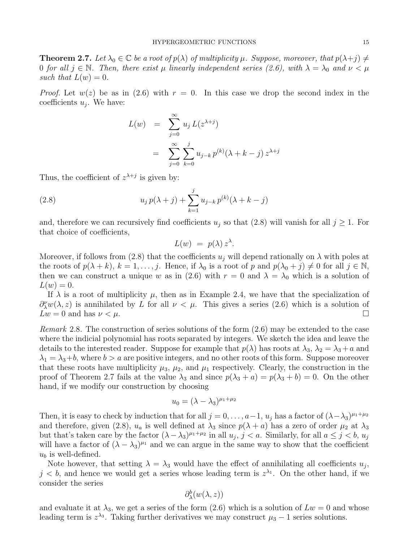**Theorem 2.7.** Let  $\lambda_0 \in \mathbb{C}$  be a root of  $p(\lambda)$  of multiplicity  $\mu$ . Suppose, moreover, that  $p(\lambda + j) \neq j$ 0 for all  $j \in \mathbb{N}$ . Then, there exist  $\mu$  linearly independent series (2.6), with  $\lambda = \lambda_0$  and  $\nu < \mu$ such that  $L(w) = 0$ .

*Proof.* Let  $w(z)$  be as in (2.6) with  $r = 0$ . In this case we drop the second index in the coefficients  $u_j$ . We have:

$$
L(w) = \sum_{j=0}^{\infty} u_j L(z^{\lambda+j})
$$
  
= 
$$
\sum_{j=0}^{\infty} \sum_{k=0}^{j} u_{j-k} p^{(k)} (\lambda + k - j) z^{\lambda+j}
$$

Thus, the coefficient of  $z^{\lambda+j}$  is given by:

(2.8) 
$$
u_j p(\lambda + j) + \sum_{k=1}^j u_{j-k} p^{(k)}(\lambda + k - j)
$$

and, therefore we can recursively find coefficients  $u_j$  so that (2.8) will vanish for all  $j \geq 1$ . For that choice of coefficients,

$$
L(w) = p(\lambda) z^{\lambda}.
$$

Moreover, if follows from (2.8) that the coefficients  $u_j$  will depend rationally on  $\lambda$  with poles at the roots of  $p(\lambda + k)$ ,  $k = 1, \ldots, j$ . Hence, if  $\lambda_0$  is a root of p and  $p(\lambda_0 + j) \neq 0$  for all  $j \in \mathbb{N}$ , then we can construct a unique w as in (2.6) with  $r = 0$  and  $\lambda = \lambda_0$  which is a solution of  $L(w) = 0.$ 

If  $\lambda$  is a root of multiplicity  $\mu$ , then as in Example 2.4, we have that the specialization of  $\partial_{\lambda}^{\nu}w(\lambda, z)$  is annihilated by L for all  $\nu < \mu$ . This gives a series (2.6) which is a solution of  $Lw = 0$  and has  $\nu < \mu$ .

*Remark* 2.8. The construction of series solutions of the form  $(2.6)$  may be extended to the case where the indicial polynomial has roots separated by integers. We sketch the idea and leave the details to the interested reader. Suppose for example that  $p(\lambda)$  has roots at  $\lambda_3$ ,  $\lambda_2 = \lambda_3 + a$  and  $\lambda_1 = \lambda_3 + b$ , where  $b > a$  are positive integers, and no other roots of this form. Suppose moreover that these roots have multiplicity  $\mu_3$ ,  $\mu_2$ , and  $\mu_1$  respectively. Clearly, the construction in the proof of Theorem 2.7 fails at the value  $\lambda_3$  and since  $p(\lambda_3 + a) = p(\lambda_3 + b) = 0$ . On the other hand, if we modify our construction by choosing

$$
u_0 = (\lambda - \lambda_3)^{\mu_1 + \mu_2}
$$

Then, it is easy to check by induction that for all  $j = 0, \ldots, a-1, u_j$  has a factor of  $(\lambda - \lambda_3)^{\mu_1 + \mu_2}$ and therefore, given (2.8),  $u_a$  is well defined at  $\lambda_3$  since  $p(\lambda + a)$  has a zero of order  $\mu_2$  at  $\lambda_3$ but that's taken care by the factor  $(\lambda - \lambda_3)^{\mu_1 + \mu_2}$  in all  $u_j$ ,  $j < a$ . Similarly, for all  $a \leq j < b$ ,  $u_j$ will have a factor of  $(\lambda - \lambda_3)^{\mu_1}$  and we can argue in the same way to show that the coefficient  $u_b$  is well-defined.

Note however, that setting  $\lambda = \lambda_3$  would have the effect of annihilating all coefficients  $u_j$ ,  $j < b$ , and hence we would get a series whose leading term is  $z^{\lambda_1}$ . On the other hand, if we consider the series

$$
\partial_\lambda^b(w(\lambda,z))
$$

and evaluate it at  $\lambda_3$ , we get a series of the form (2.6) which is a solution of  $Lw = 0$  and whose leading term is  $z^{\lambda_3}$ . Taking further derivatives we may construct  $\mu_3 - 1$  series solutions.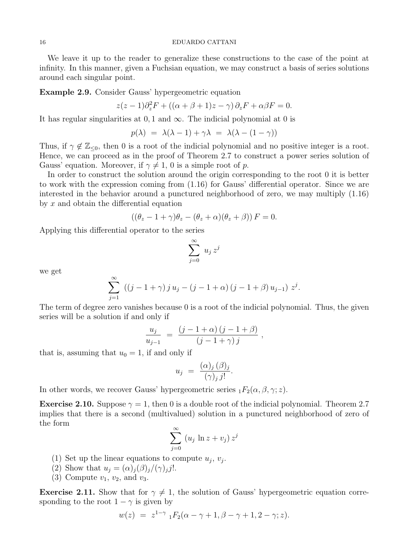We leave it up to the reader to generalize these constructions to the case of the point at infinity. In this manner, given a Fuchsian equation, we may construct a basis of series solutions around each singular point.

Example 2.9. Consider Gauss' hypergeometric equation

$$
z(z-1)\partial_z^2 F + ((\alpha + \beta + 1)z - \gamma) \partial_z F + \alpha \beta F = 0.
$$

It has regular singularities at 0, 1 and  $\infty$ . The indicial polynomial at 0 is

$$
p(\lambda) = \lambda(\lambda - 1) + \gamma \lambda = \lambda(\lambda - (1 - \gamma))
$$

Thus, if  $\gamma \notin \mathbb{Z}_{\leq 0}$ , then 0 is a root of the indicial polynomial and no positive integer is a root. Hence, we can proceed as in the proof of Theorem 2.7 to construct a power series solution of Gauss' equation. Moreover, if  $\gamma \neq 1, 0$  is a simple root of p.

In order to construct the solution around the origin corresponding to the root 0 it is better to work with the expression coming from (1.16) for Gauss' differential operator. Since we are interested in the behavior around a punctured neighborhood of zero, we may multiply (1.16) by  $x$  and obtain the differential equation

$$
((\theta_z - 1 + \gamma)\theta_z - (\theta_z + \alpha)(\theta_z + \beta))F = 0.
$$

Applying this differential operator to the series

$$
\sum_{j=0}^{\infty} u_j z^j
$$

we get

$$
\sum_{j=1}^{\infty} ((j-1+\gamma) j u_j - (j-1+\alpha) (j-1+\beta) u_{j-1}) z^j.
$$

The term of degree zero vanishes because 0 is a root of the indicial polynomial. Thus, the given series will be a solution if and only if

$$
\frac{u_j}{u_{j-1}} = \frac{(j-1+\alpha)(j-1+\beta)}{(j-1+\gamma)j},
$$

that is, assuming that  $u_0 = 1$ , if and only if

$$
u_j = \frac{(\alpha)_j (\beta)_j}{(\gamma)_j j!}.
$$

In other words, we recover Gauss' hypergeometric series  $_1F_2(\alpha, \beta, \gamma; z)$ .

**Exercise 2.10.** Suppose  $\gamma = 1$ , then 0 is a double root of the indicial polynomial. Theorem 2.7 implies that there is a second (multivalued) solution in a punctured neighborhood of zero of the form

$$
\sum_{j=0}^{\infty} (u_j \ln z + v_j) z^j
$$

- (1) Set up the linear equations to compute  $u_j$ ,  $v_j$ .
- (2) Show that  $u_j = (\alpha)_j(\beta)_j/(\gamma)_j j!$ .
- (3) Compute  $v_1, v_2,$  and  $v_3$ .

**Exercise 2.11.** Show that for  $\gamma \neq 1$ , the solution of Gauss' hypergeometric equation corresponding to the root  $1 - \gamma$  is given by

$$
w(z) = z^{1-\gamma} {}_1F_2(\alpha - \gamma + 1, \beta - \gamma + 1, 2 - \gamma; z).
$$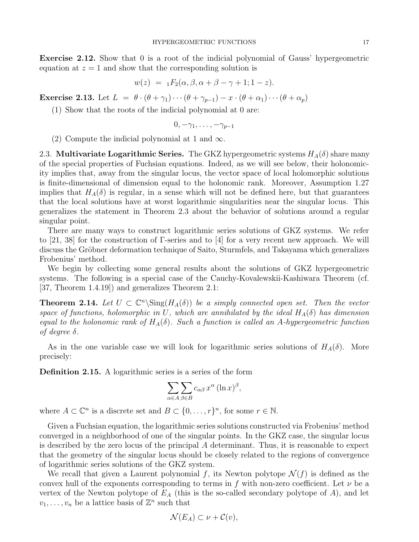Exercise 2.12. Show that 0 is a root of the indicial polynomial of Gauss' hypergeometric equation at  $z = 1$  and show that the corresponding solution is

$$
w(z) = {}_1F_2(\alpha, \beta, \alpha + \beta - \gamma + 1; 1 - z).
$$

**Exercise 2.13.** Let  $L = \theta \cdot (\theta + \gamma_1) \cdots (\theta + \gamma_{p-1}) - x \cdot (\theta + \alpha_1) \cdots (\theta + \alpha_p)$ 

(1) Show that the roots of the indicial polynomial at 0 are:

$$
0,-\gamma_1,\ldots,-\gamma_{p-1}
$$

(2) Compute the indicial polynomial at 1 and  $\infty$ .

2.3. Multivariate Logarithmic Series. The GKZ hypergeometric systems  $H_A(\delta)$  share many of the special properties of Fuchsian equations. Indeed, as we will see below, their holonomicity implies that, away from the singular locus, the vector space of local holomorphic solutions is finite-dimensional of dimension equal to the holonomic rank. Moreover, Assumption 1.27 implies that  $H_A(\delta)$  is regular, in a sense which will not be defined here, but that guarantees that the local solutions have at worst logarithmic singularities near the singular locus. This generalizes the statement in Theorem 2.3 about the behavior of solutions around a regular singular point.

There are many ways to construct logarithmic series solutions of GKZ systems. We refer to [21, 38] for the construction of  $\Gamma$ -series and to [4] for a very recent new approach. We will discuss the Gröbner deformation technique of Saito, Sturmfels, and Takayama which generalizes Frobenius' method.

We begin by collecting some general results about the solutions of GKZ hypergeometric systems. The following is a special case of the Cauchy-Kovalewskii-Kashiwara Theorem (cf. [37, Theorem 1.4.19]) and generalizes Theorem 2.1:

**Theorem 2.14.** Let  $U \subset \mathbb{C}^n \backslash Sing(H_A(\delta))$  be a simply connected open set. Then the vector space of functions, holomorphic in U, which are annihilated by the ideal  $H_A(\delta)$  has dimension equal to the holonomic rank of  $H_A(\delta)$ . Such a function is called an A-hypergeometric function of degree δ.

As in the one variable case we will look for logarithmic series solutions of  $H_A(\delta)$ . More precisely:

Definition 2.15. A logarithmic series is a series of the form

$$
\sum_{\alpha \in A} \sum_{\beta \in B} c_{\alpha\beta} x^{\alpha} (\ln x)^{\beta},
$$

where  $A \subset \mathbb{C}^n$  is a discrete set and  $B \subset \{0, \ldots, r\}^n$ , for some  $r \in \mathbb{N}$ .

Given a Fuchsian equation, the logarithmic series solutions constructed via Frobenius' method converged in a neighborhood of one of the singular points. In the GKZ case, the singular locus is described by the zero locus of the principal  $A$  determinant. Thus, it is reasonable to expect that the geometry of the singular locus should be closely related to the regions of convergence of logarithmic series solutions of the GKZ system.

We recall that given a Laurent polynomial f, its Newton polytope  $\mathcal{N}(f)$  is defined as the convex hull of the exponents corresponding to terms in f with non-zero coefficient. Let  $\nu$  be a vertex of the Newton polytope of  $E_A$  (this is the so-called secondary polytope of A), and let  $v_1, \ldots, v_n$  be a lattice basis of  $\mathbb{Z}^n$  such that

$$
\mathcal{N}(E_A) \subset \nu + \mathcal{C}(v),
$$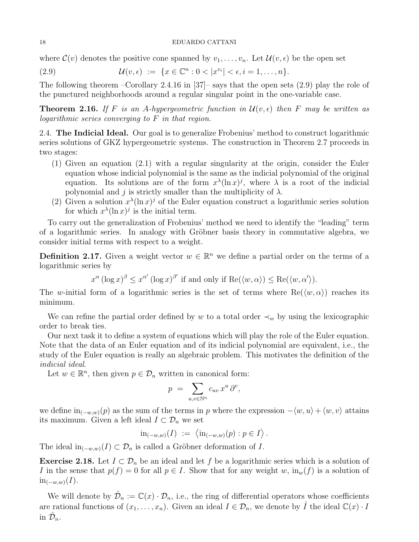where  $\mathcal{C}(v)$  denotes the positive cone spanned by  $v_1, \ldots, v_n$ . Let  $\mathcal{U}(v, \epsilon)$  be the open set

(2.9) 
$$
\mathcal{U}(v,\epsilon) := \{x \in \mathbb{C}^n : 0 < |x^{v_i}| < \epsilon, i = 1,\ldots,n\}.
$$

The following theorem –Corollary 2.4.16 in [37]– says that the open sets (2.9) play the role of the punctured neighborhoods around a regular singular point in the one-variable case.

**Theorem 2.16.** If F is an A-hypergeometric function in  $\mathcal{U}(v, \epsilon)$  then F may be written as logarithmic series converging to F in that region.

2.4. The Indicial Ideal. Our goal is to generalize Frobenius' method to construct logarithmic series solutions of GKZ hypergeometric systems. The construction in Theorem 2.7 proceeds in two stages:

- (1) Given an equation (2.1) with a regular singularity at the origin, consider the Euler equation whose indicial polynomial is the same as the indicial polynomial of the original equation. Its solutions are of the form  $x^{\lambda}(\ln x)^{j}$ , where  $\lambda$  is a root of the indicial polynomial and j is strictly smaller than the multiplicity of  $\lambda$ .
- (2) Given a solution  $x^{\lambda}(\ln x)^{j}$  of the Euler equation construct a logarithmic series solution for which  $x^{\lambda}(\ln x)^{j}$  is the initial term.

To carry out the generalization of Frobenius' method we need to identify the "leading" term of a logarithmic series. In analogy with Gröbner basis theory in commutative algebra, we consider initial terms with respect to a weight.

**Definition 2.17.** Given a weight vector  $w \in \mathbb{R}^n$  we define a partial order on the terms of a logarithmic series by

$$
x^{\alpha} (\log x)^{\beta} \leq x^{\alpha'} (\log x)^{\beta'}
$$
 if and only if  $\text{Re}(\langle w, \alpha \rangle) \leq \text{Re}(\langle w, \alpha' \rangle)$ .

The w-initial form of a logarithmic series is the set of terms where  $\text{Re}(\langle w, \alpha \rangle)$  reaches its minimum.

We can refine the partial order defined by w to a total order  $\prec_w$  by using the lexicographic order to break ties.

Our next task it to define a system of equations which will play the role of the Euler equation. Note that the data of an Euler equation and of its indicial polynomial are equivalent, i.e., the study of the Euler equation is really an algebraic problem. This motivates the definition of the indicial ideal.

Let  $w \in \mathbb{R}^n$ , then given  $p \in \mathcal{D}_n$  written in canonical form:

$$
p = \sum_{u,v \in \mathbb{N}^n} c_{uv} x^u \partial^v,
$$

we define  $in_{(-w,w)}(p)$  as the sum of the terms in p where the expression  $-\langle w, u \rangle + \langle w, v \rangle$  attains its maximum. Given a left ideal  $I \subset \mathcal{D}_n$  we set

$$
\mathrm{in}_{(-w,w)}(I) := \langle \mathrm{in}_{(-w,w)}(p) : p \in I \rangle.
$$

The ideal in<sub> $(-w,w)$ </sub> $(I) \subset \mathcal{D}_n$  is called a Gröbner deformation of I.

**Exercise 2.18.** Let  $I \subset \mathcal{D}_n$  be an ideal and let f be a logarithmic series which is a solution of I in the sense that  $p(f) = 0$  for all  $p \in I$ . Show that for any weight w,  $\text{in}_{w}(f)$  is a solution of  $\text{in}_{(-w,w)}(I).$ 

We will denote by  $\hat{\mathcal{D}}_n := \mathbb{C}(x) \cdot \mathcal{D}_n$ , i.e., the ring of differential operators whose coefficients are rational functions of  $(x_1, \ldots, x_n)$ . Given an ideal  $I \in \mathcal{D}_n$ , we denote by  $\hat{I}$  the ideal  $\mathbb{C}(x) \cdot I$ in  $\hat{\mathcal{D}}_n$ .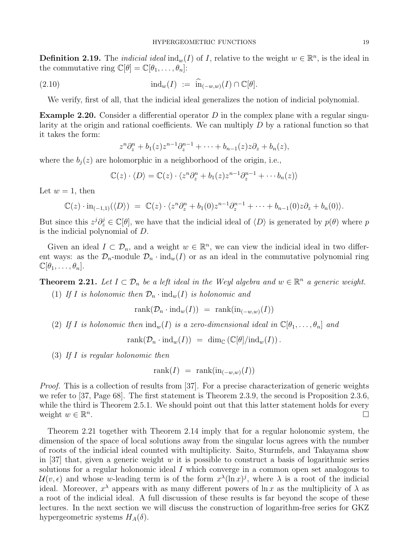**Definition 2.19.** The *indicial ideal*  $\text{ind}_w(I)$  of I, relative to the weight  $w \in \mathbb{R}^n$ , is the ideal in the commutative ring  $\mathbb{C}[\theta] = \mathbb{C}[\theta_1, \dots, \theta_n]$ :

(2.10) 
$$
\mathrm{ind}_{w}(I) := \widehat{\mathrm{in}}_{(-w,w)}(I) \cap \mathbb{C}[\theta].
$$

We verify, first of all, that the indicial ideal generalizes the notion of indicial polynomial.

**Example 2.20.** Consider a differential operator  $D$  in the complex plane with a regular singularity at the origin and rational coefficients. We can multiply  $D$  by a rational function so that it takes the form:

$$
zn\partial_zn + b_1(z)zn-1\partial_zn-1 + \cdots + b_{n-1}(z)z\partial_z + b_n(z),
$$

where the  $b_j(z)$  are holomorphic in a neighborhood of the origin, i.e.,

$$
\mathbb{C}(z)\cdot \langle D \rangle = \mathbb{C}(z)\cdot \langle z^n \partial_z^n + b_1(z)z^{n-1}\partial_z^{n-1} + \cdots + b_n(z) \rangle
$$

Let  $w = 1$ , then

$$
\mathbb{C}(z)\cdot\mathrm{in}_{(-1,1)}(\langle D\rangle) = \mathbb{C}(z)\cdot\langle z^n\partial_z^n+b_1(0)z^{n-1}\partial_z^{n-1}+\cdots+b_{n-1}(0)z\partial_z+b_n(0)\rangle.
$$

But since this  $z^{j}\partial_{z}^{j} \in \mathbb{C}[\theta]$ , we have that the indicial ideal of  $\langle D \rangle$  is generated by  $p(\theta)$  where p is the indicial polynomial of D.

Given an ideal  $I \subset \mathcal{D}_n$ , and a weight  $w \in \mathbb{R}^n$ , we can view the indicial ideal in two different ways: as the  $\mathcal{D}_n$ -module  $\mathcal{D}_n \cdot \text{ind}_w(I)$  or as an ideal in the commutative polynomial ring  $\mathbb{C}[\theta_1,\ldots,\theta_n].$ 

**Theorem 2.21.** Let  $I \subset \mathcal{D}_n$  be a left ideal in the Weyl algebra and  $w \in \mathbb{R}^n$  a generic weight.

(1) If I is holonomic then  $\mathcal{D}_n \cdot \text{ind}_w(I)$  is holonomic and

 $rank(\mathcal{D}_n \cdot ind_w(I)) = rank(in_{(-w,w)}(I))$ 

(2) If I is holonomic then  $\text{ind}_w(I)$  is a zero-dimensional ideal in  $\mathbb{C}[\theta_1,\ldots,\theta_n]$  and

$$
rank(\mathcal{D}_n \cdot ind_w(I)) = dim_{\mathbb{C}}(\mathbb{C}[\theta]/ind_w(I)).
$$

(3) If I is regular holonomic then

$$
rank(I) = rank(in_{(-w,w)}(I))
$$

Proof. This is a collection of results from [37]. For a precise characterization of generic weights we refer to [37, Page 68]. The first statement is Theorem 2.3.9, the second is Proposition 2.3.6, while the third is Theorem 2.5.1. We should point out that this latter statement holds for every weight  $w \in \mathbb{R}^n$ . The contract of the contract of the contract of the contract of the contract of  $\Box$ 

Theorem 2.21 together with Theorem 2.14 imply that for a regular holonomic system, the dimension of the space of local solutions away from the singular locus agrees with the number of roots of the indicial ideal counted with multiplicity. Saito, Sturmfels, and Takayama show in [37] that, given a generic weight  $w$  it is possible to construct a basis of logarithmic series solutions for a regular holonomic ideal I which converge in a common open set analogous to  $\mathcal{U}(v, \epsilon)$  and whose w-leading term is of the form  $x^{\lambda}(\ln x)^{j}$ , where  $\lambda$  is a root of the indicial ideal. Moreover,  $x^{\lambda}$  appears with as many different powers of  $\ln x$  as the multiplicity of  $\lambda$  as a root of the indicial ideal. A full discussion of these results is far beyond the scope of these lectures. In the next section we will discuss the construction of logarithm-free series for GKZ hypergeometric systems  $H_A(\delta)$ .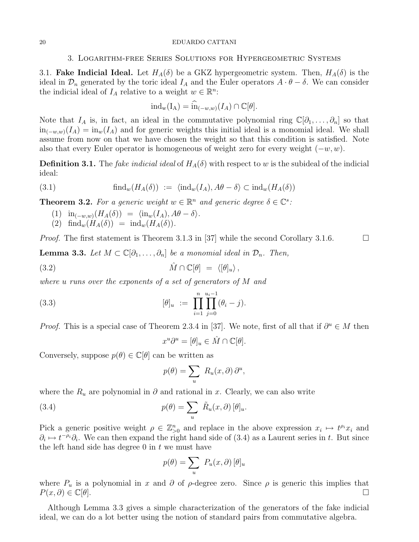## 3. Logarithm-free Series Solutions for Hypergeometric Systems

3.1. **Fake Indicial Ideal.** Let  $H_A(\delta)$  be a GKZ hypergeometric system. Then,  $H_A(\delta)$  is the ideal in  $\mathcal{D}_n$  generated by the toric ideal  $I_A$  and the Euler operators  $A \cdot \theta - \delta$ . We can consider the indicial ideal of  $I_A$  relative to a weight  $w \in \mathbb{R}^n$ :

$$
ind_w(I_A) = \widehat{in}_{(-w,w)}(I_A) \cap \mathbb{C}[\theta].
$$

Note that  $I_A$  is, in fact, an ideal in the commutative polynomial ring  $\mathbb{C}[\partial_1,\ldots,\partial_n]$  so that  $in_{(-w,w)}(I_A) = in_w(I_A)$  and for generic weights this initial ideal is a monomial ideal. We shall assume from now on that we have chosen the weight so that this condition is satisfied. Note also that every Euler operator is homogeneous of weight zero for every weight  $(-w, w)$ .

**Definition 3.1.** The *fake indicial ideal* of  $H_A(\delta)$  with respect to w is the subideal of the indicial ideal:

(3.1) 
$$
\text{find}_w(H_A(\delta)) := \langle \text{ind}_w(I_A), A\theta - \delta \rangle \subset \text{ind}_w(H_A(\delta))
$$

**Theorem 3.2.** For a generic weight  $w \in \mathbb{R}^n$  and generic degree  $\delta \in \mathbb{C}^s$ :

(1) 
$$
\operatorname{in}_{(-w,w)}(H_A(\delta)) = \langle \operatorname{in}_w(I_A), A\theta - \delta \rangle.
$$

(2)  $\text{find}_w(H_A(\delta)) = \text{ind}_w(H_A(\delta)).$ 

*Proof.* The first statement is Theorem 3.1.3 in [37] while the second Corollary 3.1.6.

**Lemma 3.3.** Let  $M \subset \mathbb{C}[\partial_1,\ldots,\partial_n]$  be a monomial ideal in  $\mathcal{D}_n$ . Then,

(3.2) 
$$
\hat{M} \cap \mathbb{C}[\theta] = \langle [\theta]_u \rangle,
$$

where u runs over the exponents of a set of generators of M and

(3.3) 
$$
[\theta]_u := \prod_{i=1}^n \prod_{j=0}^{u_i-1} (\theta_i - j).
$$

*Proof.* This is a special case of Theorem 2.3.4 in [37]. We note, first of all that if  $\partial^u \in M$  then

$$
x^u\partial^u = [\theta]_u \in \hat{M} \cap \mathbb{C}[\theta].
$$

Conversely, suppose  $p(\theta) \in \mathbb{C}[\theta]$  can be written as

$$
p(\theta) = \sum_{u} R_{u}(x, \partial) \partial^{u},
$$

where the  $R_u$  are polynomial in  $\partial$  and rational in x. Clearly, we can also write

(3.4) 
$$
p(\theta) = \sum_{u} \tilde{R}_{u}(x,\partial) [\theta]_{u}.
$$

Pick a generic positive weight  $\rho \in \mathbb{Z}_{\geq 0}^n$  and replace in the above expression  $x_i \mapsto t^{\rho_i}x_i$  and  $\partial_i \mapsto t^{-\rho_i}\partial_i$ . We can then expand the right hand side of (3.4) as a Laurent series in t. But since the left hand side has degree  $0$  in  $t$  we must have

$$
p(\theta) = \sum_{u} P_u(x, \partial) [\theta]_u
$$

where  $P_u$  is a polynomial in x and  $\partial$  of  $\rho$ -degree zero. Since  $\rho$  is generic this implies that  $P(x, \partial) \in \mathbb{C}[\theta].$ 

Although Lemma 3.3 gives a simple characterization of the generators of the fake indicial ideal, we can do a lot better using the notion of standard pairs from commutative algebra.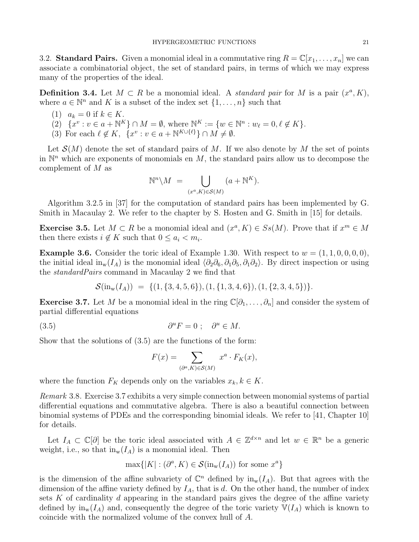3.2. Standard Pairs. Given a monomial ideal in a commutative ring  $R = \mathbb{C}[x_1, \ldots, x_n]$  we can associate a combinatorial object, the set of standard pairs, in terms of which we may express many of the properties of the ideal.

**Definition 3.4.** Let  $M \subset R$  be a monomial ideal. A *standard pair* for M is a pair  $(x^a, K)$ , where  $a \in \mathbb{N}^n$  and K is a subset of the index set  $\{1, \ldots, n\}$  such that

- (1)  $a_k = 0$  if  $k \in K$ .
- (2)  $\{x^v : v \in a + \mathbb{N}^K\} \cap M = \emptyset$ , where  $\mathbb{N}^K := \{w \in \mathbb{N}^n : w_\ell = 0, \ell \notin K\}.$
- (3) For each  $\ell \notin K$ ,  $\{x^v : v \in a + \mathbb{N}^{K \cup \{\ell\}}\} \cap M \neq \emptyset$ .

Let  $\mathcal{S}(M)$  denote the set of standard pairs of M. If we also denote by M the set of points in  $\mathbb{N}^n$  which are exponents of monomials en M, the standard pairs allow us to decompose the complement of M as

$$
\mathbb{N}^n \setminus M = \bigcup_{(x^a, K) \in \mathcal{S}(M)} (a + \mathbb{N}^K).
$$

Algorithm 3.2.5 in [37] for the computation of standard pairs has been implemented by G. Smith in Macaulay 2. We refer to the chapter by S. Hosten and G. Smith in [15] for details.

**Exercise 3.5.** Let  $M \subset R$  be a monomial ideal and  $(x^a, K) \in S_s(M)$ . Prove that if  $x^m \in M$ then there exists  $i \notin K$  such that  $0 \leq a_i < m_i$ .

**Example 3.6.** Consider the toric ideal of Example 1.30. With respect to  $w = (1, 1, 0, 0, 0, 0)$ , the initial ideal in<sub>w</sub>(I<sub>A</sub>) is the monomial ideal  $\langle \partial_2 \partial_6, \partial_1 \partial_5, \partial_1 \partial_2 \rangle$ . By direct inspection or using the standardPairs command in Macaulay 2 we find that

$$
\mathcal{S}(\text{in}_\text{w}(I_A))~=~\{(1,\{3,4,5,6\}), (1,\{1,3,4,6\}), (1,\{2,3,4,5\})\}.
$$

Exercise 3.7. Let M be a monomial ideal in the ring  $\mathbb{C}[\partial_1,\ldots,\partial_n]$  and consider the system of partial differential equations

(3.5) 
$$
\partial^u F = 0; \quad \partial^u \in M.
$$

Show that the solutions of (3.5) are the functions of the form:

$$
F(x) = \sum_{(\partial^a, K) \in \mathcal{S}(M)} x^a \cdot F_K(x),
$$

where the function  $F_K$  depends only on the variables  $x_k, k \in K$ .

Remark 3.8. Exercise 3.7 exhibits a very simple connection between monomial systems of partial differential equations and commutative algebra. There is also a beautiful connection between binomial systems of PDEs and the corresponding binomial ideals. We refer to [41, Chapter 10] for details.

Let  $I_A \subset \mathbb{C}[\partial]$  be the toric ideal associated with  $A \in \mathbb{Z}^{d \times n}$  and let  $w \in \mathbb{R}^n$  be a generic weight, i.e., so that  $\text{in}_{w}(I_A)$  is a monomial ideal. Then

$$
\max\{|K| : (\partial^a, K) \in \mathcal{S}(\text{in}_w(I_A)) \text{ for some } x^a\}
$$

is the dimension of the affine subvariety of  $\mathbb{C}^n$  defined by  $\text{in}_{w}(I_A)$ . But that agrees with the dimension of the affine variety defined by  $I_A$ , that is d. On the other hand, the number of index sets  $K$  of cardinality  $d$  appearing in the standard pairs gives the degree of the affine variety defined by  $\text{in}_{w}(I_A)$  and, consequently the degree of the toric variety  $\mathbb{V}(I_A)$  which is known to coincide with the normalized volume of the convex hull of A.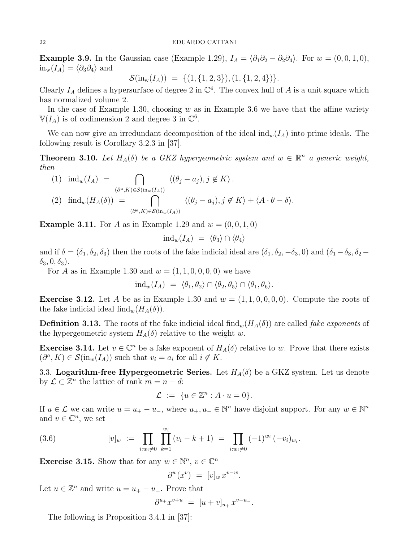**Example 3.9.** In the Gaussian case (Example 1.29),  $I_A = \langle \partial_1 \partial_2 - \partial_2 \partial_4 \rangle$ . For  $w = (0, 0, 1, 0)$ ,  $in_w(I_A) = \langle \partial_3 \partial_4 \rangle$  and

$$
\mathcal{S}(\text{in}_{w}(I_A)) = \{ (1, \{1, 2, 3\}), (1, \{1, 2, 4\}) \}.
$$

Clearly  $I_A$  defines a hypersurface of degree 2 in  $\mathbb{C}^4$ . The convex hull of A is a unit square which has normalized volume 2.

In the case of Example 1.30, choosing  $w$  as in Example 3.6 we have that the affine variety  $\mathbb{V}(I_A)$  is of codimension 2 and degree 3 in  $\mathbb{C}^6$ .

We can now give an irredundant decomposition of the ideal  $\text{ind}_w(I_A)$  into prime ideals. The following result is Corollary 3.2.3 in [37].

**Theorem 3.10.** Let  $H_A(\delta)$  be a GKZ hypergeometric system and  $w \in \mathbb{R}^n$  a generic weight, then

(1) 
$$
\operatorname{ind}_{w}(I_{A}) = \bigcap_{(\partial^{a}, K) \in \mathcal{S}(\operatorname{in}_{w}(I_{A}))} \langle (\theta_{j} - a_{j}), j \notin K \rangle
$$
.  
\n(2)  $\operatorname{find}_{w}(H_{A}(\delta)) = \bigcap_{(\partial^{a}, K) \in \mathcal{S}(\operatorname{in}_{w}(I_{A}))} \langle (\theta_{j} - a_{j}), j \notin K \rangle + \langle A \cdot \theta - \delta \rangle$ .

**Example 3.11.** For A as in Example 1.29 and  $w = (0, 0, 1, 0)$ 

$$
ind_w(I_A) = \langle \theta_3 \rangle \cap \langle \theta_4 \rangle
$$

and if  $\delta = (\delta_1, \delta_2, \delta_3)$  then the roots of the fake indicial ideal are  $(\delta_1, \delta_2, -\delta_3, 0)$  and  $(\delta_1 - \delta_3, \delta_2 \delta_3, 0, \delta_3$ ).

For A as in Example 1.30 and  $w = (1, 1, 0, 0, 0, 0)$  we have

$$
ind_w(I_A) = \langle \theta_1, \theta_2 \rangle \cap \langle \theta_2, \theta_5 \rangle \cap \langle \theta_1, \theta_6 \rangle.
$$

**Exercise 3.12.** Let A be as in Example 1.30 and  $w = (1, 1, 0, 0, 0, 0)$ . Compute the roots of the fake indicial ideal find<sub>w</sub> $(H_A(\delta)).$ 

**Definition 3.13.** The roots of the fake indicial ideal find<sub>w</sub> $(H_A(\delta))$  are called *fake exponents* of the hypergeometric system  $H_A(\delta)$  relative to the weight w.

**Exercise 3.14.** Let  $v \in \mathbb{C}^n$  be a fake exponent of  $H_A(\delta)$  relative to w. Prove that there exists  $(\partial^a, K) \in \mathcal{S}(\text{in}_w(I_A))$  such that  $v_i = a_i$  for all  $i \notin K$ .

3.3. Logarithm-free Hypergeometric Series. Let  $H_A(\delta)$  be a GKZ system. Let us denote by  $\mathcal{L} \subset \mathbb{Z}^n$  the lattice of rank  $m = n - d$ :

$$
\mathcal{L} := \{ u \in \mathbb{Z}^n : A \cdot u = 0 \}.
$$

If  $u \in \mathcal{L}$  we can write  $u = u_+ - u_-,$  where  $u_+, u_- \in \mathbb{N}^n$  have disjoint support. For any  $w \in \mathbb{N}^n$ and  $v \in \mathbb{C}^n$ , we set

(3.6) 
$$
[v]_w := \prod_{i:w_i\neq 0} \prod_{k=1}^{w_i} (v_i - k + 1) = \prod_{i:w_i\neq 0} (-1)^{w_i} (-v_i)_{w_i}.
$$

**Exercise 3.15.** Show that for any  $w \in \mathbb{N}^n$ ,  $v \in \mathbb{C}^n$ 

$$
\partial^w(x^v) = [v]_w x^{v-w}.
$$

Let  $u \in \mathbb{Z}^n$  and write  $u = u_+ - u_-$ . Prove that

$$
\partial^{u_+} x^{v+u} \ = \ [u+v]_{u_+} \, x^{v-u_-}.
$$

The following is Proposition 3.4.1 in [37]: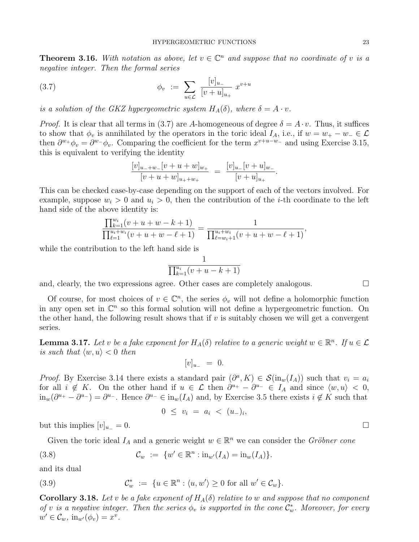**Theorem 3.16.** With notation as above, let  $v \in \mathbb{C}^n$  and suppose that no coordinate of v is a negative integer. Then the formal series

(3.7) 
$$
\phi_v := \sum_{u \in \mathcal{L}} \frac{[v]_{u_-}}{[v+u]_{u_+}} x^{v+u}
$$

is a solution of the GKZ hypergeometric system  $H_A(\delta)$ , where  $\delta = A \cdot v$ .

*Proof.* It is clear that all terms in (3.7) are A-homogeneous of degree  $\delta = A \cdot v$ . Thus, it suffices to show that  $\phi_v$  is annihilated by the operators in the toric ideal  $I_A$ , i.e., if  $w = w_+ - w_- \in \mathcal{L}$ then  $\partial^{w_+}\phi_v = \partial^{w_-}\phi_v$ . Comparing the coefficient for the term  $x^{v+u-w_-}$  and using Exercise 3.15, this is equivalent to verifying the identity

$$
\frac{[v]_{u_-+w_-}[v+u+w]_{w_+}}{[v+u+w]_{u_++w_+}} = \frac{[v]_{u_-}[v+u]_{w_-}}{[v+u]_{u_+}}.
$$

This can be checked case-by-case depending on the support of each of the vectors involved. For example, suppose  $w_i > 0$  and  $u_i > 0$ , then the contribution of the *i*-th coordinate to the left hand side of the above identity is:

$$
\frac{\prod_{k=1}^{w_i} (v+u+w-k+1)}{\prod_{\ell=1}^{u_i+w_i} (v+u+w-\ell+1)} = \frac{1}{\prod_{\ell=w_i+1}^{u_i+w_i} (v+u+w-\ell+1)},
$$

while the contribution to the left hand side is

$$
\frac{1}{\prod_{k=1}^{u_i}(v+u-k+1)}
$$

and, clearly, the two expressions agree. Other cases are completely analogous.  $\square$ 

Of course, for most choices of  $v \in \mathbb{C}^n$ , the series  $\phi_v$  will not define a holomorphic function in any open set in  $\mathbb{C}^n$  so this formal solution will not define a hypergeometric function. On the other hand, the following result shows that if  $v$  is suitably chosen we will get a convergent series.

**Lemma 3.17.** Let v be a fake exponent for  $H_A(\delta)$  relative to a generic weight  $w \in \mathbb{R}^n$ . If  $u \in \mathcal{L}$ is such that  $\langle w, u \rangle < 0$  then

$$
[v]_{u_-} = 0.
$$

*Proof.* By Exercise 3.14 there exists a standard pair  $(\partial^a, K) \in \mathcal{S}(\text{in}_w(I_A))$  such that  $v_i = a_i$ for all  $i \notin K$ . On the other hand if  $u \in \mathcal{L}$  then  $\partial^{u_+} - \partial^{u_-} \in I_A$  and since  $\langle w, u \rangle < 0$ ,  $\lim_{w}(\partial^{u_+}-\partial^{u_-})=\partial^{u_-}$ . Hence  $\partial^{u_-}\in \lim_{w}(I_A)$  and, by Exercise 3.5 there exists  $i \notin K$  such that

$$
0 \leq v_i = a_i < (u_-)_i,
$$

but this implies  $[v]_{u_-} = 0$ .

Given the toric ideal  $I_A$  and a generic weight  $w \in \mathbb{R}^n$  we can consider the Gröbner cone

(3.8) 
$$
\mathcal{C}_w := \{ w' \in \mathbb{R}^n : \text{in}_{w'}(I_A) = \text{in}_w(I_A) \}.
$$

and its dual

(3.9) 
$$
\mathcal{C}_w^* := \{ u \in \mathbb{R}^n : \langle u, w' \rangle \geq 0 \text{ for all } w' \in \mathcal{C}_w \}.
$$

**Corollary 3.18.** Let v be a fake exponent of  $H_A(\delta)$  relative to w and suppose that no component of v is a negative integer. Then the series  $\phi_v$  is supported in the cone  $\mathcal{C}_w^*$ . Moreover, for every  $w' \in \mathcal{C}_w$ ,  $\text{in}_{w'}(\phi_v) = x^v$ .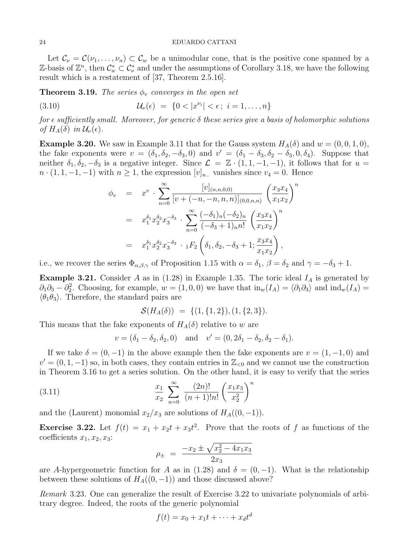Let  $\mathcal{C}_{\nu} = \mathcal{C}(\nu_1, \dots, \nu_n) \subset \mathcal{C}_{w}$  be a unimodular cone, that is the positive cone spanned by a Z-basis of  $\mathbb{Z}^n$ , then  $\mathcal{C}^*_{w} \subset \mathcal{C}^*_{\nu}$  and under the assumptions of Corollary 3.18, we have the following result which is a restatement of [37, Theorem 2.5.16].

**Theorem 3.19.** The series  $\phi_v$  converges in the open set

(3.10) 
$$
\mathcal{U}_{\nu}(\epsilon) = \{0 < |x^{\nu_i}| < \epsilon; \ i = 1, ..., n\}
$$

for  $\epsilon$  sufficiently small. Moreover, for generic  $\delta$  these series give a basis of holomorphic solutions of  $H_A(\delta)$  in  $\mathcal{U}_{\nu}(\epsilon)$ .

**Example 3.20.** We saw in Example 3.11 that for the Gauss system  $H_A(\delta)$  and  $w = (0, 0, 1, 0)$ , the fake exponents were  $v = (\delta_1, \delta_2, -\delta_3, 0)$  and  $v' = (\delta_1 - \delta_3, \delta_2 - \delta_3, 0, \delta_4)$ . Suppose that neither  $\delta_1, \delta_2, -\delta_3$  is a negative integer. Since  $\mathcal{L} = \mathbb{Z} \cdot (1, 1, -1, -1)$ , it follows that for  $u =$  $n \cdot (1, 1, -1, -1)$  with  $n \geq 1$ , the expression  $[v]_{u_{-}}$  vanishes since  $v_4 = 0$ . Hence

$$
\phi_v = x^v \cdot \sum_{n=0}^{\infty} \frac{[v]_{(n,n,0,0)}}{[v + (-n,-n,n,n)]_{(0,0,n,n)}} \left(\frac{x_3 x_4}{x_1 x_2}\right)^n
$$
  

$$
= x_1^{\delta_1} x_2^{\delta_2} x_3^{-\delta_3} \cdot \sum_{n=0}^{\infty} \frac{(-\delta_1)_n (-\delta_2)_n}{(-\delta_3 + 1)_n n!} \left(\frac{x_3 x_4}{x_1 x_2}\right)^n
$$
  

$$
= x_1^{\delta_1} x_2^{\delta_2} x_3^{-\delta_3} \cdot {}_1F_2 \left(\delta_1, \delta_2, -\delta_3 + 1; \frac{x_3 x_4}{x_1 x_2}\right),
$$

i.e., we recover the series  $\Phi_{\alpha,\beta,\gamma}$  of Proposition 1.15 with  $\alpha = \delta_1$ ,  $\beta = \delta_2$  and  $\gamma = -\delta_3 + 1$ .

**Example 3.21.** Consider A as in (1.28) in Example 1.35. The toric ideal  $I<sub>A</sub>$  is generated by  $\partial_1\partial_3 - \partial_2^2$ . Choosing, for example,  $w = (1, 0, 0)$  we have that  $\text{in}_w(I_A) = \langle \partial_1 \partial_3 \rangle$  and  $\text{ind}_w(I_A) =$  $\langle \theta_1 \theta_3 \rangle$ . Therefore, the standard pairs are

$$
\mathcal{S}(H_A(\delta)) = \{ (1, \{1, 2\}), (1, \{2, 3\}).
$$

This means that the fake exponents of  $H_A(\delta)$  relative to w are

$$
v = (\delta_1 - \delta_2, \delta_2, 0)
$$
 and  $v' = (0, 2\delta_1 - \delta_2, \delta_2 - \delta_1).$ 

If we take  $\delta = (0, -1)$  in the above example then the fake exponents are  $v = (1, -1, 0)$  and  $v' = (0, 1, -1)$  so, in both cases, they contain entries in  $\mathbb{Z}_{\leq 0}$  and we cannot use the construction in Theorem 3.16 to get a series solution. On the other hand, it is easy to verify that the series

(3.11) 
$$
\frac{x_1}{x_2} \sum_{n=0}^{\infty} \frac{(2n)!}{(n+1)!n!} \left(\frac{x_1 x_3}{x_2^2}\right)^n
$$

and the (Laurent) monomial  $x_2/x_3$  are solutions of  $H_A((0,-1))$ .

**Exercise 3.22.** Let  $f(t) = x_1 + x_2t + x_3t^2$ . Prove that the roots of f as functions of the coefficients  $x_1, x_2, x_3$ :

$$
\rho_{\pm} = \frac{-x_2 \pm \sqrt{x_2^2 - 4x_1x_3}}{2x_3}
$$

are A-hypergeometric function for A as in (1.28) and  $\delta = (0, -1)$ . What is the relationship between these solutions of  $H_A((0,-1))$  and those discussed above?

Remark 3.23. One can generalize the result of Exercise 3.22 to univariate polynomials of arbitrary degree. Indeed, the roots of the generic polynomial

$$
f(t) = x_0 + x_1t + \dots + x_dt^d
$$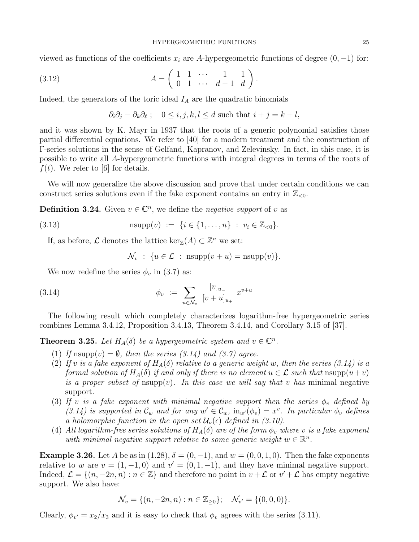viewed as functions of the coefficients  $x_i$  are A-hypergeometric functions of degree  $(0, -1)$  for:

(3.12) 
$$
A = \begin{pmatrix} 1 & 1 & \cdots & 1 & 1 \\ 0 & 1 & \cdots & d-1 & d \end{pmatrix}.
$$

Indeed, the generators of the toric ideal  $I_A$  are the quadratic binomials

$$
\partial_i \partial_j - \partial_k \partial_\ell
$$
;  $0 \le i, j, k, l \le d$  such that  $i + j = k + l$ ,

and it was shown by K. Mayr in 1937 that the roots of a generic polynomial satisfies those partial differential equations. We refer to [40] for a modern treatment and the construction of Γ-series solutions in the sense of Gelfand, Kapranov, and Zelevinsky. In fact, in this case, it is possible to write all A-hypergeometric functions with integral degrees in terms of the roots of  $f(t)$ . We refer to [6] for details.

We will now generalize the above discussion and prove that under certain conditions we can construct series solutions even if the fake exponent contains an entry in  $\mathbb{Z}_{\leq 0}$ .

**Definition 3.24.** Given  $v \in \mathbb{C}^n$ , we define the *negative support* of v as

(3.13) 
$$
n \sup p(v) := \{i \in \{1, ..., n\} : v_i \in \mathbb{Z}_{< 0}\}.
$$

If, as before,  $\mathcal L$  denotes the lattice ker<sub>Z</sub>(A)  $\subset \mathbb Z^n$  we set:

$$
\mathcal{N}_v : \{ u \in \mathcal{L} \; : \; \text{nsupp}(v+u) = \text{nsupp}(v) \}.
$$

We now redefine the series  $\phi_v$  in (3.7) as:

(3.14) 
$$
\phi_v := \sum_{u \in \mathcal{N}_v} \frac{[v]_{u_-}}{[v + u]_{u_+}} x^{v+u}
$$

The following result which completely characterizes logarithm-free hypergeometric series combines Lemma 3.4.12, Proposition 3.4.13, Theorem 3.4.14, and Corollary 3.15 of [37].

**Theorem 3.25.** Let  $H_A(\delta)$  be a hypergeometric system and  $v \in \mathbb{C}^n$ .

- (1) If  $\text{nsupp}(v) = \emptyset$ , then the series (3.14) and (3.7) agree.
- (2) If v is a fake exponent of  $H_A(\delta)$  relative to a generic weight w, then the series (3.14) is a formal solution of  $H_A(\delta)$  if and only if there is no element  $u \in \mathcal{L}$  such that  $\text{nsupp}(u+v)$ is a proper subset of  $\text{nsupp}(v)$ . In this case we will say that v has minimal negative support.
- (3) If v is a fake exponent with minimal negative support then the series  $\phi_v$  defined by (3.14) is supported in  $\mathcal{C}_w$  and for any  $w' \in \mathcal{C}_w$ ,  $\text{in}_{w'}(\phi_v) = x^v$ . In particular  $\phi_v$  defines a holomorphic function in the open set  $\mathcal{U}_{\nu}(\epsilon)$  defined in (3.10).
- (4) All logarithm-free series solutions of  $H_A(\delta)$  are of the form  $\phi_v$  where v is a fake exponent with minimal negative support relative to some generic weight  $w \in \mathbb{R}^n$ .

**Example 3.26.** Let A be as in (1.28),  $\delta = (0, -1)$ , and  $w = (0, 0, 1, 0)$ . Then the fake exponents relative to w are  $v = (1, -1, 0)$  and  $v' = (0, 1, -1)$ , and they have minimal negative support. Indeed,  $\mathcal{L} = \{(n, -2n, n) : n \in \mathbb{Z}\}\$ and therefore no point in  $v + \mathcal{L}$  or  $v' + \mathcal{L}$  has empty negative support. We also have:

$$
\mathcal{N}_v = \{ (n, -2n, n) : n \in \mathbb{Z}_{\geq 0} \}; \quad \mathcal{N}_{v'} = \{ (0, 0, 0) \}.
$$

Clearly,  $\phi_{v'} = x_2/x_3$  and it is easy to check that  $\phi_v$  agrees with the series (3.11).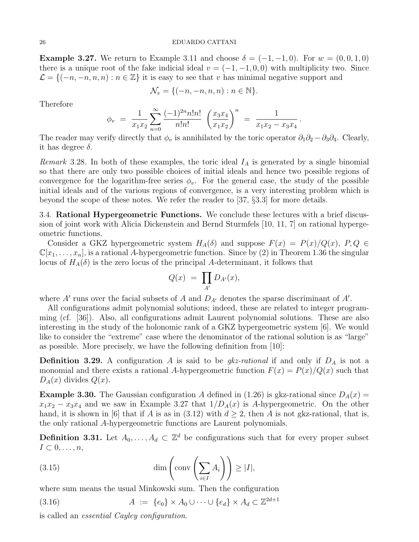**Example 3.27.** We return to Example 3.11 and choose  $\delta = (-1, -1, 0)$ . For  $w = (0, 0, 1, 0)$ there is a unique root of the fake indicial ideal  $v = (-1, -1, 0, 0)$  with multiplicity two. Since  $\mathcal{L} = \{(-n, -n, n, n) : n \in \mathbb{Z}\}\$ it is easy to see that v has minimal negative support and

$$
\mathcal{N}_v = \{(-n, -n, n, n) : n \in \mathbb{N}\}.
$$

Therefore

$$
\phi_v = \frac{1}{x_1 x_2} \sum_{n=0}^{\infty} \frac{(-1)^{2n} n! n!}{n! n!} \left( \frac{x_3 x_4}{x_1 x_2} \right)^n = \frac{1}{x_1 x_2 - x_3 x_4}.
$$

The reader may verify directly that  $\phi_v$  is annihilated by the toric operator  $\partial_1\partial_2-\partial_3\partial_4$ . Clearly, it has degree  $\delta$ .

Remark 3.28. In both of these examples, the toric ideal  $I<sub>A</sub>$  is generated by a single binomial so that there are only two possible choices of initial ideals and hence two possible regions of convergence for the logarithm-free series  $\phi_v$ . For the general case, the study of the possible initial ideals and of the various regions of convergence, is a very interesting problem which is beyond the scope of these notes. We refer the reader to [37, §3.3] for more details.

3.4. Rational Hypergeometric Functions. We conclude these lectures with a brief discussion of joint work with Alicia Dickenstein and Bernd Sturmfels [10, 11, 7] on rational hypergeometric functions.

Consider a GKZ hypergeometric system  $H_A(\delta)$  and suppose  $F(x) = P(x)/Q(x)$ ,  $P, Q \in$  $\mathbb{C}[x_1,\ldots,x_n]$ , is a rational A-hypergeometric function. Since by (2) in Theorem 1.36 the singular locus of  $H_A(\delta)$  is the zero locus of the principal A-determinant, it follows that

$$
Q(x) = \prod_{A'} D_{A'}(x),
$$

where  $A'$  runs over the facial subsets of A and  $D_{A'}$  denotes the sparse discriminant of  $A'$ .

All configurations admit polynomial solutions; indeed, these are related to integer programming (cf. [36]). Also, all configurations admit Laurent polynomial solutions. These are also interesting in the study of the holonomic rank of a GKZ hypergeometric system [6]. We would like to consider the "extreme" case where the denominator of the rational solution is as "large" as possible. More precisely, we have the following definition from [10]:

**Definition 3.29.** A configuration A is said to be  $g_k$ -rational if and only if  $D_A$  is not a monomial and there exists a rational A-hypergeometric function  $F(x) = P(x)/Q(x)$  such that  $D_A(x)$  divides  $Q(x)$ .

**Example 3.30.** The Gaussian configuration A defined in (1.26) is gkz-rational since  $D_A(x)$  $x_1x_2 - x_3x_4$  and we saw in Example 3.27 that  $1/D_A(x)$  is A-hypergeometric. On the other hand, it is shown in [6] that if A is as in (3.12) with  $d \geq 2$ , then A is not gkz-rational, that is, the only rational A-hypergeometric functions are Laurent polynomials.

**Definition 3.31.** Let  $A_0, \ldots, A_d \subset \mathbb{Z}^d$  be configurations such that for every proper subset  $I \subset 0, \ldots, n$ ,

(3.15) 
$$
\dim\left(\text{conv}\left(\sum_{i\in I}A_i\right)\right) \geq |I|,
$$

where sum means the usual Minkowski sum. Then the configuration

(3.16) 
$$
A := \{e_0\} \times A_0 \cup \cdots \cup \{e_d\} \times A_d \subset \mathbb{Z}^{2d+1}
$$

is called an essential Cayley configuration.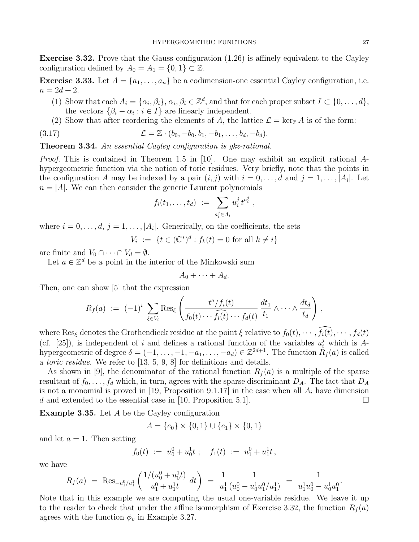Exercise 3.32. Prove that the Gauss configuration (1.26) is affinely equivalent to the Cayley configuration defined by  $A_0 = A_1 = \{0, 1\} \subset \mathbb{Z}$ .

**Exercise 3.33.** Let  $A = \{a_1, \ldots, a_n\}$  be a codimension-one essential Cayley configuration, i.e.  $n = 2d + 2.$ 

- (1) Show that each  $A_i = {\alpha_i, \beta_i}, \alpha_i, \beta_i \in \mathbb{Z}^d$ , and that for each proper subset  $I \subset \{0, ..., d\}$ , the vectors  $\{\beta_i - \alpha_i : i \in I\}$  are linearly independent.
- (2) Show that after reordering the elements of A, the lattice  $\mathcal{L} = \ker_{\mathbb{Z}} A$  is of the form:

(3.17) 
$$
\mathcal{L} = \mathbb{Z} \cdot (b_0, -b_0, b_1, -b_1, \dots, b_d, -b_d).
$$

Theorem 3.34. An essential Cayley configuration is gkz-rational.

*Proof.* This is contained in Theorem 1.5 in [10]. One may exhibit an explicit rational  $A$ hypergeometric function via the notion of toric residues. Very briefly, note that the points in the configuration A may be indexed by a pair  $(i, j)$  with  $i = 0, \ldots, d$  and  $j = 1, \ldots, |A_i|$ . Let  $n = |A|$ . We can then consider the generic Laurent polynomials

$$
f_i(t_1,\ldots,t_d) \ := \ \sum_{a_i^j \in A_i} u_i^j \, t^{a_i^j} \ ,
$$

where  $i = 0, \ldots, d, j = 1, \ldots, |A_i|$ . Generically, on the coefficients, the sets

$$
V_i := \{ t \in (\mathbb{C}^*)^d : f_k(t) = 0 \text{ for all } k \neq i \}
$$

are finite and  $V_0 \cap \cdots \cap V_d = \emptyset$ .

Let  $a \in \mathbb{Z}^d$  be a point in the interior of the Minkowski sum

$$
A_0+\cdots+A_d.
$$

Then, one can show [5] that the expression

$$
R_f(a) := (-1)^i \sum_{\xi \in V_i} \text{Res}_{\xi} \left( \frac{t^a/f_i(t)}{f_0(t) \cdots \widehat{f_i(t)} \cdots f_d(t)} \frac{dt_1}{t_1} \wedge \cdots \wedge \frac{dt_d}{t_d} \right),
$$

where Res<sub>ξ</sub> denotes the Grothendieck residue at the point  $\xi$  relative to  $f_0(t), \cdots, \widehat{f_i(t)}, \cdots, f_d(t)$ (cf. [25]), is independent of i and defines a rational function of the variables  $u_i^j$  which is Ahypergeometric of degree  $\delta = (-1,\ldots,-1,-a_1,\ldots,-a_d) \in \mathbb{Z}^{2d+1}$ . The function  $R_f(a)$  is called a toric residue. We refer to [13, 5, 9, 8] for definitions and details.

As shown in [9], the denominator of the rational function  $R_f(a)$  is a multiple of the sparse resultant of  $f_0, \ldots, f_d$  which, in turn, agrees with the sparse discriminant  $D_A$ . The fact that  $D_A$ is not a monomial is proved in [19, Proposition 9.1.17] in the case when all  $A_i$  have dimension d and extended to the essential case in [10, Proposition 5.1].  $\Box$ 

**Example 3.35.** Let  $A$  be the Cayley configuration

$$
A = \{e_0\} \times \{0, 1\} \cup \{e_1\} \times \{0, 1\}
$$

and let  $a = 1$ . Then setting

$$
f_0(t) := u_0^0 + u_0^1 t \; ; \quad f_1(t) := u_1^0 + u_1^1 t \; ,
$$

we have

$$
R_f(a) = \text{Res}_{-u_1^0/u_1^1} \left( \frac{1/(u_0^0 + u_0^1 t)}{u_1^0 + u_1^1 t} dt \right) = \frac{1}{u_1^1} \frac{1}{(u_0^0 - u_0^1 u_1^0 / u_1^1)} = \frac{1}{u_1^1 u_0^0 - u_0^1 u_1^0}.
$$

Note that in this example we are computing the usual one-variable residue. We leave it up to the reader to check that under the affine isomorphism of Exercise 3.32, the function  $R_f(a)$ agrees with the function  $\phi_v$  in Example 3.27.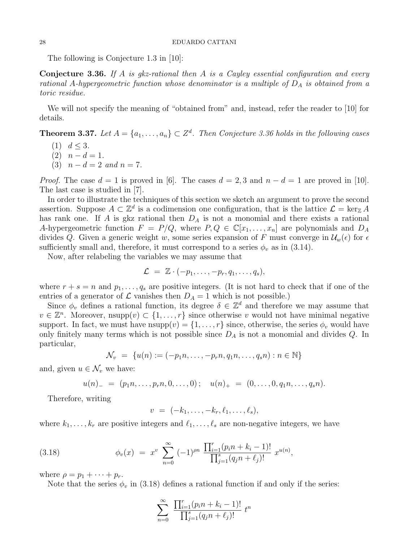The following is Conjecture 1.3 in [10]:

**Conjecture 3.36.** If A is gkz-rational then A is a Cayley essential configuration and every rational A-hypergeometric function whose denominator is a multiple of  $D_A$  is obtained from a toric residue.

We will not specify the meaning of "obtained from" and, instead, refer the reader to [10] for details.

**Theorem 3.37.** Let  $A = \{a_1, \ldots, a_n\} \subset \mathbb{Z}^d$ . Then Conjecture 3.36 holds in the following cases

- $(1)$   $d < 3$ .
- (2)  $n d = 1$ .
- (3)  $n d = 2$  and  $n = 7$ .

*Proof.* The case  $d = 1$  is proved in [6]. The cases  $d = 2, 3$  and  $n - d = 1$  are proved in [10]. The last case is studied in [7].

In order to illustrate the techniques of this section we sketch an argument to prove the second assertion. Suppose  $A \subset \mathbb{Z}^d$  is a codimension one configuration, that is the lattice  $\mathcal{L} = \ker_{\mathbb{Z}} A$ has rank one. If A is gkz rational then  $D_A$  is not a monomial and there exists a rational A-hypergeometric function  $F = P/Q$ , where  $P, Q \in \mathbb{C}[x_1, \ldots, x_n]$  are polynomials and  $D_A$ divides Q. Given a generic weight w, some series expansion of F must converge in  $\mathcal{U}_w(\epsilon)$  for  $\epsilon$ sufficiently small and, therefore, it must correspond to a series  $\phi_v$  as in (3.14).

Now, after relabeling the variables we may assume that

$$
\mathcal{L} = \mathbb{Z} \cdot (-p_1, \ldots, -p_r, q_1, \ldots, q_s),
$$

where  $r + s = n$  and  $p_1, \ldots, q_s$  are positive integers. (It is not hard to check that if one of the entries of a generator of  $\mathcal L$  vanishes then  $D_A = 1$  which is not possible.)

Since  $\phi_v$  defines a rational function, its degree  $\delta \in \mathbb{Z}^d$  and therefore we may assume that  $v \in \mathbb{Z}^n$ . Moreover, nsupp $(v) \subset \{1, \ldots, r\}$  since otherwise v would not have minimal negative support. In fact, we must have  $\text{nsupp}(v) = \{1, \ldots, r\}$  since, otherwise, the series  $\phi_v$  would have only finitely many terms which is not possible since  $D_A$  is not a monomial and divides  $Q$ . In particular,

$$
\mathcal{N}_v = \{ u(n) := (-p_1 n, \dots, -p_r n, q_1 n, \dots, q_s n) : n \in \mathbb{N} \}
$$

and, given  $u \in \mathcal{N}_v$ , we have:

 $u(n) = (p_1n, \ldots, p_rn, 0, \ldots, 0); \quad u(n)_+ = (0, \ldots, 0, q_1n, \ldots, q_sn).$ 

Therefore, writing

$$
v = (-k_1,\ldots,-k_r,\ell_1,\ldots,\ell_s),
$$

where  $k_1, \ldots, k_r$  are positive integers and  $\ell_1, \ldots, \ell_s$  are non-negative integers, we have

(3.18) 
$$
\phi_v(x) = x^v \sum_{n=0}^{\infty} (-1)^{\rho n} \frac{\prod_{i=1}^r (p_i n + k_i - 1)!}{\prod_{j=1}^s (q_j n + \ell_j)!} x^{u(n)},
$$

where  $\rho = p_1 + \cdots + p_r$ .

Note that the series  $\phi_v$  in (3.18) defines a rational function if and only if the series:

$$
\sum_{n=0}^{\infty} \frac{\prod_{i=1}^{r} (p_i n + k_i - 1)!}{\prod_{j=1}^{s} (q_j n + \ell_j)!} t^n
$$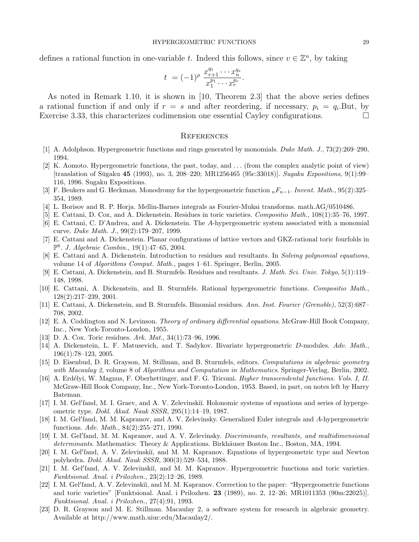defines a rational function in one-variable t. Indeed this follows, since  $v \in \mathbb{Z}^n$ , by taking

$$
t = (-1)^{\rho} \frac{x_{r+1}^{q_1} \cdots x_n^{q_s}}{x_1^{p_1} \cdots x_r^{p_r}}.
$$

As noted in Remark 1.10, it is shown in [10, Theorem 2.3] that the above series defines a rational function if and only if  $r = s$  and after reordering, if necessary,  $p_i = q_i$ . But, by Exercise 3.33, this characterizes codimension one essential Cayley configurations.

## **REFERENCES**

- [1] A. Adolphson. Hypergeometric functions and rings generated by monomials. Duke Math. J., 73(2):269–290, 1994.
- [2] K. Aomoto. Hypergeometric functions, the past, today, and . . . (from the complex analytic point of view)  $[translation of Sūgaku 45 (1993), no. 3, 208–220; MR1256465 (95c:33018)]. Sugaku Expositions, 9(1):99–1000, 99–1010, 99–1010, 99–1000, 99–1010, 99–1010, 99–1010, 99–1010, 99–1010, 99–1010, 99–1010, 99–1010, 99–1010, 99–1010, 99–1010, 99–1010, 99–1010, 99–1010$ 116, 1996. Sugaku Expositions.
- [3] F. Beukers and G. Heckman. Monodromy for the hypergeometric function  $nF_{n-1}$ . Invent. Math., 95(2):325– 354, 1989.
- [4] L. Borisov and R. P. Horja. Mellin-Barnes integrals as Fourier-Mukai transforms. math.AG/0510486.
- [5] E. Cattani, D. Cox, and A. Dickenstein. Residues in toric varieties. Compositio Math., 108(1):35–76, 1997.
- [6] E. Cattani, C. D'Andrea, and A. Dickenstein. The A-hypergeometric system associated with a monomial curve. Duke Math. J., 99(2):179–207, 1999.
- [7] E. Cattani and A. Dickenstein. Planar configurations of lattice vectors and GKZ-rational toric fourfolds in  $\mathbb{P}^6$ . J. Algebraic Combin., 19(1):47–65, 2004.
- [8] E. Cattani and A. Dickenstein. Introduction to residues and resultants. In Solving polynomial equations, volume 14 of Algorithms Comput. Math., pages 1–61. Springer, Berlin, 2005.
- [9] E. Cattani, A. Dickenstein, and B. Sturmfels. Residues and resultants. J. Math. Sci. Univ. Tokyo, 5(1):119– 148, 1998.
- [10] E. Cattani, A. Dickenstein, and B. Sturmfels. Rational hypergeometric functions. Compositio Math., 128(2):217–239, 2001.
- [11] E. Cattani, A. Dickenstein, and B. Sturmfels. Binomial residues. Ann. Inst. Fourier (Grenoble), 52(3):687– 708, 2002.
- [12] E. A. Coddington and N. Levinson. Theory of ordinary differential equations. McGraw-Hill Book Company, Inc., New York-Toronto-London, 1955.
- [13] D. A. Cox. Toric residues. Ark. Mat., 34(1):73–96, 1996.
- [14] A. Dickenstein, L. F. Matusevich, and T. Sadykov. Bivariate hypergeometric D-modules. Adv. Math., 196(1):78–123, 2005.
- [15] D. Eisenbud, D. R. Grayson, M. Stillman, and B. Sturmfels, editors. Computations in algebraic geometry with Macaulay 2, volume 8 of Algorithms and Computation in Mathematics. Springer-Verlag, Berlin, 2002.
- [16] A. Erd´elyi, W. Magnus, F. Oberhettinger, and F. G. Tricomi. Higher transcendental functions. Vols. I, II. McGraw-Hill Book Company, Inc., New York-Toronto-London, 1953. Based, in part, on notes left by Harry Bateman.
- [17] I. M. Gel'fand, M. I. Graev, and A. V. Zelevinskiı̆. Holonomic systems of equations and series of hypergeometric type. Dokl. Akad. Nauk SSSR, 295(1):14–19, 1987.
- [18] I. M. Gel'fand, M. M. Kapranov, and A. V. Zelevinsky. Generalized Euler integrals and A-hypergeometric functions. Adv. Math., 84(2):255–271, 1990.
- [19] I. M. Gel'fand, M. M. Kapranov, and A. V. Zelevinsky. Discriminants, resultants, and multidimensional determinants. Mathematics: Theory & Applications. Birkhäuser Boston Inc., Boston, MA, 1994.
- [20] I. M. Gel'fand, A. V. Zelevinskiı̆, and M. M. Kapranov. Equations of hypergeometric type and Newton polyhedra. Dokl. Akad. Nauk SSSR, 300(3):529–534, 1988.
- [21] I. M. Gel'fand, A. V. Zelevinskiĭ, and M. M. Kapranov. Hypergeometric functions and toric varieties. Funktsional. Anal. i Prilozhen., 23(2):12–26, 1989.
- [22] I. M. Gel'fand, A. V. Zelevinskiı̆, and M. M. Kapranov. Correction to the paper: "Hypergeometric functions and toric varieties" [Funktsional. Anal. i Prilozhen. 23 (1989), no. 2, 12–26; MR1011353 (90m:22025)]. Funktsional. Anal. i Prilozhen., 27(4):91, 1993.
- [23] D. R. Grayson and M. E. Stillman. Macaulay 2, a software system for research in algebraic geometry. Available at http://www.math.uiuc.edu/Macaulay2/.